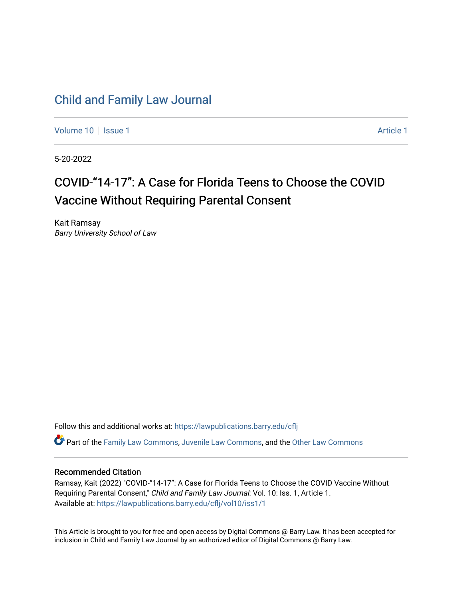# [Child and Family Law Journal](https://lawpublications.barry.edu/cflj)

[Volume 10](https://lawpublications.barry.edu/cflj/vol10) | [Issue 1](https://lawpublications.barry.edu/cflj/vol10/iss1) Article 1

5-20-2022

# COVID-"14-17": A Case for Florida Teens to Choose the COVID Vaccine Without Requiring Parental Consent

Kait Ramsay Barry University School of Law

Follow this and additional works at: [https://lawpublications.barry.edu/cflj](https://lawpublications.barry.edu/cflj?utm_source=lawpublications.barry.edu%2Fcflj%2Fvol10%2Fiss1%2F1&utm_medium=PDF&utm_campaign=PDFCoverPages)

Part of the [Family Law Commons,](https://network.bepress.com/hgg/discipline/602?utm_source=lawpublications.barry.edu%2Fcflj%2Fvol10%2Fiss1%2F1&utm_medium=PDF&utm_campaign=PDFCoverPages) [Juvenile Law Commons](https://network.bepress.com/hgg/discipline/851?utm_source=lawpublications.barry.edu%2Fcflj%2Fvol10%2Fiss1%2F1&utm_medium=PDF&utm_campaign=PDFCoverPages), and the [Other Law Commons](https://network.bepress.com/hgg/discipline/621?utm_source=lawpublications.barry.edu%2Fcflj%2Fvol10%2Fiss1%2F1&utm_medium=PDF&utm_campaign=PDFCoverPages)

# Recommended Citation

Ramsay, Kait (2022) "COVID-"14-17": A Case for Florida Teens to Choose the COVID Vaccine Without Requiring Parental Consent," Child and Family Law Journal: Vol. 10: Iss. 1, Article 1. Available at: [https://lawpublications.barry.edu/cflj/vol10/iss1/1](https://lawpublications.barry.edu/cflj/vol10/iss1/1?utm_source=lawpublications.barry.edu%2Fcflj%2Fvol10%2Fiss1%2F1&utm_medium=PDF&utm_campaign=PDFCoverPages) 

This Article is brought to you for free and open access by Digital Commons @ Barry Law. It has been accepted for inclusion in Child and Family Law Journal by an authorized editor of Digital Commons @ Barry Law.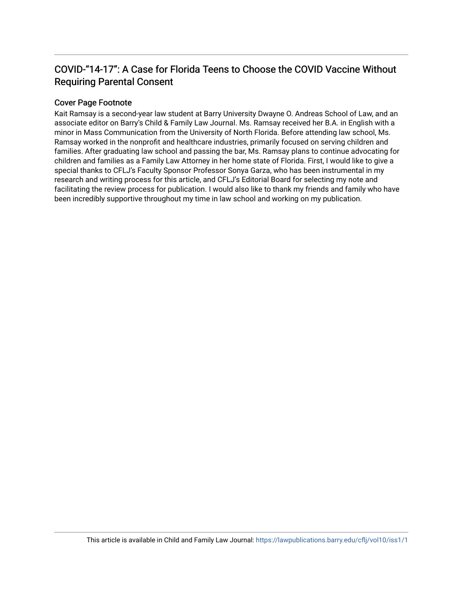# COVID-"14-17": A Case for Florida Teens to Choose the COVID Vaccine Without Requiring Parental Consent

# Cover Page Footnote

Kait Ramsay is a second-year law student at Barry University Dwayne O. Andreas School of Law, and an associate editor on Barry's Child & Family Law Journal. Ms. Ramsay received her B.A. in English with a minor in Mass Communication from the University of North Florida. Before attending law school, Ms. Ramsay worked in the nonprofit and healthcare industries, primarily focused on serving children and families. After graduating law school and passing the bar, Ms. Ramsay plans to continue advocating for children and families as a Family Law Attorney in her home state of Florida. First, I would like to give a special thanks to CFLJ's Faculty Sponsor Professor Sonya Garza, who has been instrumental in my research and writing process for this article, and CFLJ's Editorial Board for selecting my note and facilitating the review process for publication. I would also like to thank my friends and family who have been incredibly supportive throughout my time in law school and working on my publication.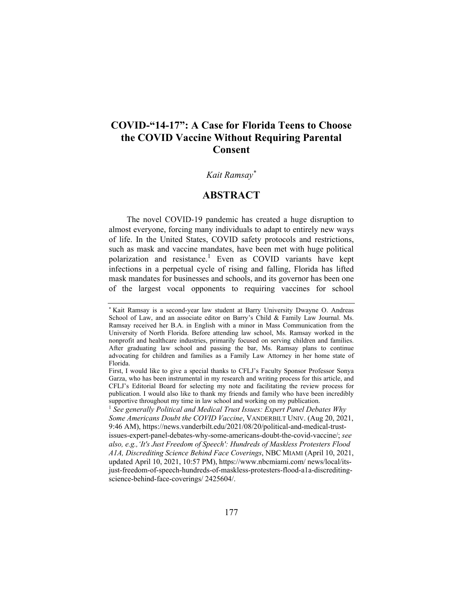# **COVID-"14-17": A Case for Florida Teens to Choose the COVID Vaccine Without Requiring Parental Consent**

# *Kait Ramsay\**

# **ABSTRACT**

The novel COVID-19 pandemic has created a huge disruption to almost everyone, forcing many individuals to adapt to entirely new ways of life. In the United States, COVID safety protocols and restrictions, such as mask and vaccine mandates, have been met with huge political polarization and resistance.<sup>1</sup> Even as COVID variants have kept infections in a perpetual cycle of rising and falling, Florida has lifted mask mandates for businesses and schools, and its governor has been one of the largest vocal opponents to requiring vaccines for school

<sup>\*</sup> Kait Ramsay is a second-year law student at Barry University Dwayne O. Andreas School of Law, and an associate editor on Barry's Child & Family Law Journal. Ms. Ramsay received her B.A. in English with a minor in Mass Communication from the University of North Florida. Before attending law school, Ms. Ramsay worked in the nonprofit and healthcare industries, primarily focused on serving children and families. After graduating law school and passing the bar, Ms. Ramsay plans to continue advocating for children and families as a Family Law Attorney in her home state of Florida.

First, I would like to give a special thanks to CFLJ's Faculty Sponsor Professor Sonya Garza, who has been instrumental in my research and writing process for this article, and CFLJ's Editorial Board for selecting my note and facilitating the review process for publication. I would also like to thank my friends and family who have been incredibly supportive throughout my time in law school and working on my publication.<br><sup>1</sup> *See generally Political and Medical Trust Issues: Expert Panel Debates Why* 

*Some Americans Doubt the COVID Vaccine*, VANDERBILT UNIV. (Aug 20, 2021, 9:46 AM), https://news.vanderbilt.edu/2021/08/20/political-and-medical-trust-

issues-expert-panel-debates-why-some-americans-doubt-the-covid-vaccine/; *see also, e.g.,'It's Just Freedom of Speech': Hundreds of Maskless Protesters Flood A1A, Discrediting Science Behind Face Coverings*, NBC MIAMI (April 10, 2021, updated April 10, 2021, 10:57 PM), https://www.nbcmiami.com/ news/local/itsjust-freedom-of-speech-hundreds-of-maskless-protesters-flood-a1a-discreditingscience-behind-face-coverings/ 2425604/.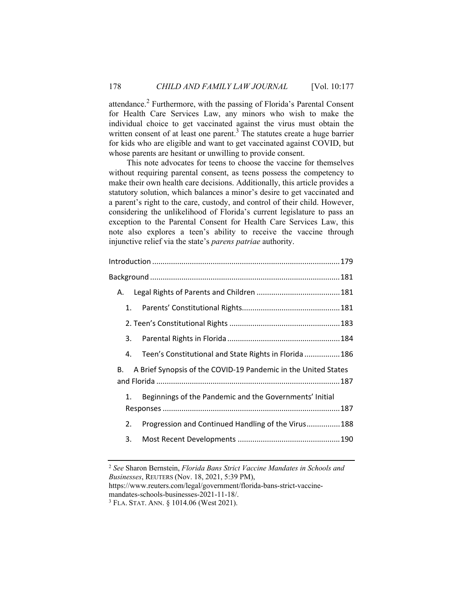attendance.<sup>2</sup> Furthermore, with the passing of Florida's Parental Consent for Health Care Services Law, any minors who wish to make the individual choice to get vaccinated against the virus must obtain the written consent of at least one parent.<sup>3</sup> The statutes create a huge barrier for kids who are eligible and want to get vaccinated against COVID, but whose parents are hesitant or unwilling to provide consent.

This note advocates for teens to choose the vaccine for themselves without requiring parental consent, as teens possess the competency to make their own health care decisions. Additionally, this article provides a statutory solution, which balances a minor's desire to get vaccinated and a parent's right to the care, custody, and control of their child. However, considering the unlikelihood of Florida's current legislature to pass an exception to the Parental Consent for Health Care Services Law, this note also explores a teen's ability to receive the vaccine through injunctive relief via the state's *parens patriae* authority.

| А.                                                                   |  |  |
|----------------------------------------------------------------------|--|--|
| 1.                                                                   |  |  |
|                                                                      |  |  |
| 3.                                                                   |  |  |
| Teen's Constitutional and State Rights in Florida  186<br>4.         |  |  |
| A Brief Synopsis of the COVID-19 Pandemic in the United States<br>В. |  |  |
| Beginnings of the Pandemic and the Governments' Initial<br>1.        |  |  |
| Progression and Continued Handling of the Virus 188<br>2.            |  |  |
| 3.                                                                   |  |  |

<sup>2</sup> *See* Sharon Bernstein, *Florida Bans Strict Vaccine Mandates in Schools and Businesses*, REUTERS (Nov. 18, 2021, 5:39 PM),

https://www.reuters.com/legal/government/florida-bans-strict-vaccinemandates-schools-businesses-2021-11-18/.

<sup>3</sup> FLA. STAT. ANN. § 1014.06 (West 2021).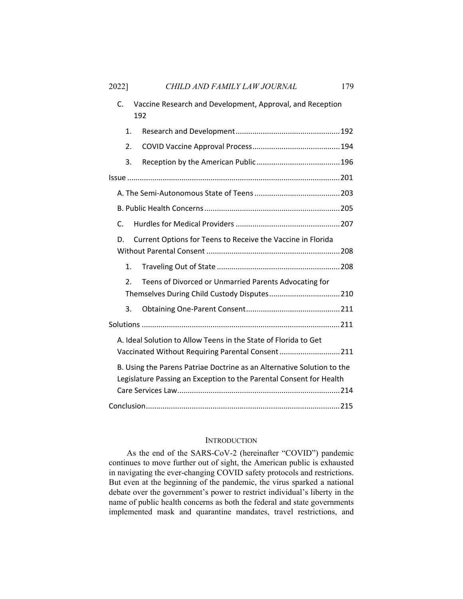| 2022]                                                                                                                                         | CHILD AND FAMILY LAW JOURNAL                                     | 179 |  |
|-----------------------------------------------------------------------------------------------------------------------------------------------|------------------------------------------------------------------|-----|--|
| C.                                                                                                                                            | Vaccine Research and Development, Approval, and Reception<br>192 |     |  |
| 1.                                                                                                                                            |                                                                  |     |  |
| 2.                                                                                                                                            |                                                                  |     |  |
| 3.                                                                                                                                            |                                                                  |     |  |
|                                                                                                                                               |                                                                  |     |  |
|                                                                                                                                               |                                                                  |     |  |
|                                                                                                                                               |                                                                  |     |  |
| $\mathsf{C}$                                                                                                                                  |                                                                  |     |  |
| Current Options for Teens to Receive the Vaccine in Florida<br>D.                                                                             |                                                                  |     |  |
| $\mathbf{1}$ .                                                                                                                                |                                                                  |     |  |
| 2.                                                                                                                                            | Teens of Divorced or Unmarried Parents Advocating for            |     |  |
| 3.                                                                                                                                            |                                                                  |     |  |
|                                                                                                                                               |                                                                  |     |  |
| A. Ideal Solution to Allow Teens in the State of Florida to Get<br>Vaccinated Without Requiring Parental Consent211                           |                                                                  |     |  |
| B. Using the Parens Patriae Doctrine as an Alternative Solution to the<br>Legislature Passing an Exception to the Parental Consent for Health |                                                                  |     |  |

#### INTRODUCTION

Conclusion ............................................................................................. 215

As the end of the SARS-CoV-2 (hereinafter "COVID") pandemic continues to move further out of sight, the American public is exhausted in navigating the ever-changing COVID safety protocols and restrictions. But even at the beginning of the pandemic, the virus sparked a national debate over the government's power to restrict individual's liberty in the name of public health concerns as both the federal and state governments implemented mask and quarantine mandates, travel restrictions, and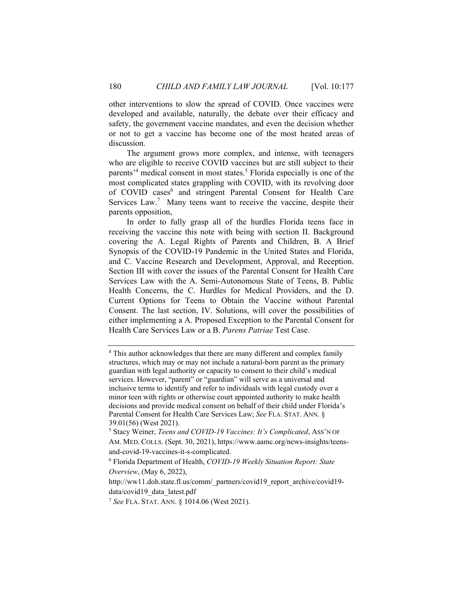other interventions to slow the spread of COVID. Once vaccines were developed and available, naturally, the debate over their efficacy and safety, the government vaccine mandates, and even the decision whether or not to get a vaccine has become one of the most heated areas of discussion.

The argument grows more complex, and intense, with teenagers who are eligible to receive COVID vaccines but are still subject to their parents<sup>,4</sup> medical consent in most states.<sup>5</sup> Florida especially is one of the most complicated states grappling with COVID, with its revolving door of COVID cases<sup>6</sup> and stringent Parental Consent for Health Care Services  $Law$ .<sup>7</sup> Many teens want to receive the vaccine, despite their parents opposition,

In order to fully grasp all of the hurdles Florida teens face in receiving the vaccine this note with being with section II. Background covering the A. Legal Rights of Parents and Children, B. A Brief Synopsis of the COVID-19 Pandemic in the United States and Florida, and C. Vaccine Research and Development, Approval, and Reception. Section III with cover the issues of the Parental Consent for Health Care Services Law with the A. Semi-Autonomous State of Teens, B. Public Health Concerns, the C. Hurdles for Medical Providers, and the D. Current Options for Teens to Obtain the Vaccine without Parental Consent. The last section, IV. Solutions, will cover the possibilities of either implementing a A. Proposed Exception to the Parental Consent for Health Care Services Law or a B. *Parens Patriae* Test Case.

<sup>&</sup>lt;sup>4</sup> This author acknowledges that there are many different and complex family structures, which may or may not include a natural-born parent as the primary guardian with legal authority or capacity to consent to their child's medical services. However, "parent" or "guardian" will serve as a universal and inclusive terms to identify and refer to individuals with legal custody over a minor teen with rights or otherwise court appointed authority to make health decisions and provide medical consent on behalf of their child under Florida's Parental Consent for Health Care Services Law; *See* FLA. STAT. ANN. § 39.01(56) (West 2021).

<sup>5</sup> Stacy Weiner, *Teens and COVID-19 Vaccines: It's Complicated*, ASS'N OF AM. MED. COLLS. (Sept. 30, 2021), https://www.aamc.org/news-insights/teensand-covid-19-vaccines-it-s-complicated. 6

Florida Department of Health, *COVID-19 Weekly Situation Report: State Overview*, (May 6, 2022),

http://ww11.doh.state.fl.us/comm/\_partners/covid19\_report\_archive/covid19 data/covid19\_data\_latest.pdf

<sup>7</sup> *See* FLA. STAT. ANN. § 1014.06 (West 2021).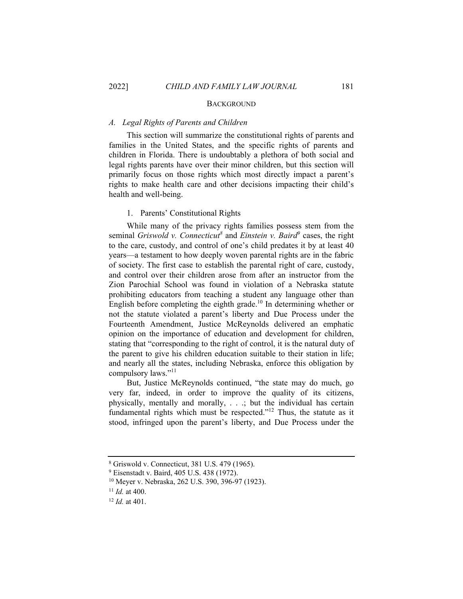#### **BACKGROUND**

#### *A. Legal Rights of Parents and Children*

This section will summarize the constitutional rights of parents and families in the United States, and the specific rights of parents and children in Florida. There is undoubtably a plethora of both social and legal rights parents have over their minor children, but this section will primarily focus on those rights which most directly impact a parent's rights to make health care and other decisions impacting their child's health and well-being.

# 1. Parents' Constitutional Rights

While many of the privacy rights families possess stem from the seminal *Griswold v. Connecticut*<sup>8</sup> and *Einstein v. Baird*<sup>9</sup> cases, the right to the care, custody, and control of one's child predates it by at least 40 years—a testament to how deeply woven parental rights are in the fabric of society. The first case to establish the parental right of care, custody, and control over their children arose from after an instructor from the Zion Parochial School was found in violation of a Nebraska statute prohibiting educators from teaching a student any language other than English before completing the eighth grade.<sup>10</sup> In determining whether or not the statute violated a parent's liberty and Due Process under the Fourteenth Amendment, Justice McReynolds delivered an emphatic opinion on the importance of education and development for children, stating that "corresponding to the right of control, it is the natural duty of the parent to give his children education suitable to their station in life; and nearly all the states, including Nebraska, enforce this obligation by compulsory laws."<sup>11</sup>

But, Justice McReynolds continued, "the state may do much, go very far, indeed, in order to improve the quality of its citizens, physically, mentally and morally, . . .; but the individual has certain fundamental rights which must be respected."12 Thus, the statute as it stood, infringed upon the parent's liberty, and Due Process under the

<sup>8</sup> Griswold v. Connecticut, 381 U.S. 479 (1965).

<sup>&</sup>lt;sup>9</sup> Eisenstadt v. Baird, 405 U.S. 438 (1972).

<sup>10</sup> Meyer v. Nebraska, 262 U.S. 390, 396-97 (1923).

<sup>11</sup> *Id.* at 400. 12 *Id.* at 401.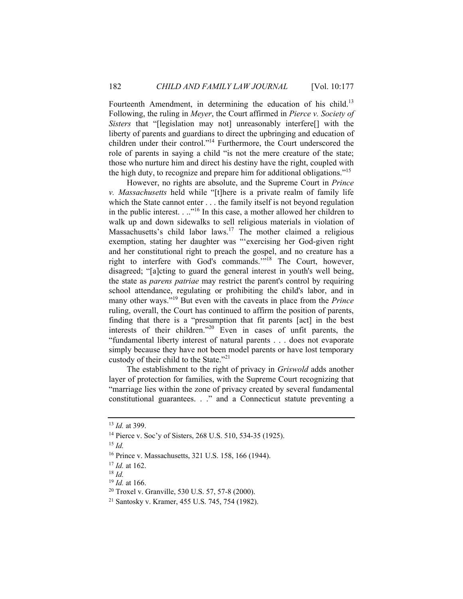Fourteenth Amendment, in determining the education of his child.<sup>13</sup> Following, the ruling in *Meyer*, the Court affirmed in *Pierce v. Society of Sisters* that "[legislation may not] unreasonably interfere[] with the liberty of parents and guardians to direct the upbringing and education of children under their control."14 Furthermore, the Court underscored the role of parents in saying a child "is not the mere creature of the state; those who nurture him and direct his destiny have the right, coupled with the high duty, to recognize and prepare him for additional obligations."15

However, no rights are absolute, and the Supreme Court in *Prince v. Massachusetts* held while "[t]here is a private realm of family life which the State cannot enter . . . the family itself is not beyond regulation in the public interest. . .."16 In this case, a mother allowed her children to walk up and down sidewalks to sell religious materials in violation of Massachusetts's child labor laws.<sup>17</sup> The mother claimed a religious exemption, stating her daughter was "'exercising her God-given right and her constitutional right to preach the gospel, and no creature has a right to interfere with God's commands."<sup>18</sup> The Court, however, disagreed; "[a]cting to guard the general interest in youth's well being, the state as *parens patriae* may restrict the parent's control by requiring school attendance, regulating or prohibiting the child's labor, and in many other ways."19 But even with the caveats in place from the *Prince*  ruling, overall, the Court has continued to affirm the position of parents, finding that there is a "presumption that fit parents [act] in the best interests of their children."20 Even in cases of unfit parents, the "fundamental liberty interest of natural parents . . . does not evaporate simply because they have not been model parents or have lost temporary custody of their child to the State."<sup>21</sup>

The establishment to the right of privacy in *Griswold* adds another layer of protection for families, with the Supreme Court recognizing that "marriage lies within the zone of privacy created by several fundamental constitutional guarantees. . ." and a Connecticut statute preventing a

 $15$  *Id.* 

<sup>&</sup>lt;sup>13</sup> *Id.* at 399.<br><sup>14</sup> Pierce v. Soc'y of Sisters, 268 U.S. 510, 534-35 (1925).

<sup>16</sup> Prince v. Massachusetts, 321 U.S. 158, 166 (1944).

<sup>&</sup>lt;sup>17</sup> *Id.* at 162.<br><sup>18</sup> *Id.* <sup>19</sup> *Id.* at 166.

<sup>&</sup>lt;sup>20</sup> Troxel v. Granville, 530 U.S. 57, 57-8 (2000).

<sup>21</sup> Santosky v. Kramer, 455 U.S. 745, 754 (1982).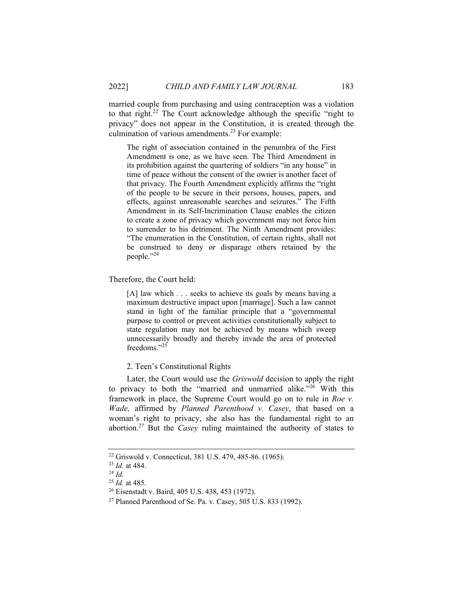married couple from purchasing and using contraception was a violation to that right.<sup>22</sup> The Court acknowledge although the specific "right to privacy" does not appear in the Constitution, it is created through the culmination of various amendments.<sup>23</sup> For example:

The right of association contained in the penumbra of the First Amendment is one, as we have seen. The Third Amendment in its prohibition against the quartering of soldiers "in any house" in time of peace without the consent of the owner is another facet of that privacy. The Fourth Amendment explicitly affirms the "right of the people to be secure in their persons, houses, papers, and effects, against unreasonable searches and seizures." The Fifth Amendment in its Self-Incrimination Clause enables the citizen to create a zone of privacy which government may not force him to surrender to his detriment. The Ninth Amendment provides: "The enumeration in the Constitution, of certain rights, shall not be construed to deny or disparage others retained by the people."24

Therefore, the Court held:

[A] law which . . . seeks to achieve its goals by means having a maximum destructive impact upon [marriage]. Such a law cannot stand in light of the familiar principle that a "governmental purpose to control or prevent activities constitutionally subject to state regulation may not be achieved by means which sweep unnecessarily broadly and thereby invade the area of protected freedoms."25

2. Teen's Constitutional Rights

Later, the Court would use the *Griswold* decision to apply the right to privacy to both the "married and unmarried alike." $26$  With this framework in place, the Supreme Court would go on to rule in *Roe v. Wade,* affirmed by *Planned Parenthood v. Casey*, that based on a woman's right to privacy, she also has the fundamental right to an abortion.27 But the *Casey* ruling maintained the authority of states to

<sup>22</sup> Griswold v. Connecticut, 381 U.S. 479, 485-86. (1965).

<sup>&</sup>lt;sup>23</sup> *Id.* at 484.<br><sup>24</sup> *Id.* <sup>25</sup> *Id.* at 485.

<sup>&</sup>lt;sup>26</sup> Eisenstadt v. Baird, 405 U.S. 438, 453 (1972).

<sup>27</sup> Planned Parenthood of Se. Pa. v. Casey, 505 U.S. 833 (1992).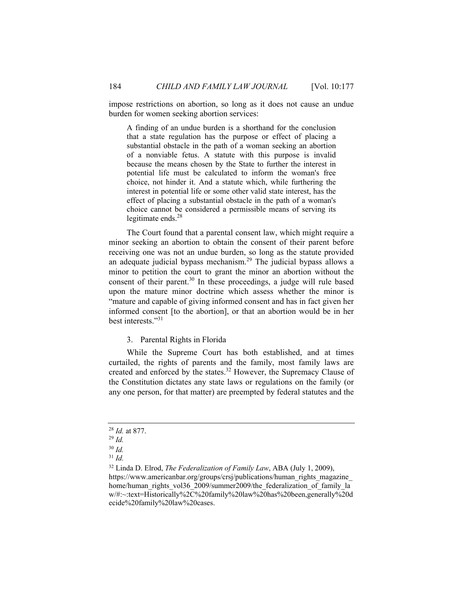impose restrictions on abortion, so long as it does not cause an undue burden for women seeking abortion services:

A finding of an undue burden is a shorthand for the conclusion that a state regulation has the purpose or effect of placing a substantial obstacle in the path of a woman seeking an abortion of a nonviable fetus. A statute with this purpose is invalid because the means chosen by the State to further the interest in potential life must be calculated to inform the woman's free choice, not hinder it. And a statute which, while furthering the interest in potential life or some other valid state interest, has the effect of placing a substantial obstacle in the path of a woman's choice cannot be considered a permissible means of serving its legitimate ends.<sup>28</sup>

The Court found that a parental consent law, which might require a minor seeking an abortion to obtain the consent of their parent before receiving one was not an undue burden, so long as the statute provided an adequate judicial bypass mechanism.<sup>29</sup> The judicial bypass allows a minor to petition the court to grant the minor an abortion without the consent of their parent.<sup>30</sup> In these proceedings, a judge will rule based upon the mature minor doctrine which assess whether the minor is "mature and capable of giving informed consent and has in fact given her informed consent [to the abortion], or that an abortion would be in her best interests."<sup>31</sup>

#### 3. Parental Rights in Florida

While the Supreme Court has both established, and at times curtailed, the rights of parents and the family, most family laws are created and enforced by the states.<sup>32</sup> However, the Supremacy Clause of the Constitution dictates any state laws or regulations on the family (or any one person, for that matter) are preempted by federal statutes and the

<sup>28</sup> *Id.* at 877. 29 *Id.*

<sup>30</sup> *Id.* 

<sup>31</sup> *Id.*

<sup>32</sup> Linda D. Elrod, *The Federalization of Family Law*, ABA (July 1, 2009), https://www.americanbar.org/groups/crsj/publications/human\_rights\_magazine home/human\_rights\_vol36\_2009/summer2009/the\_federalization\_of\_family\_la w/#:~:text=Historically%2C%20family%20law%20has%20been,generally%20d ecide%20family%20law%20cases.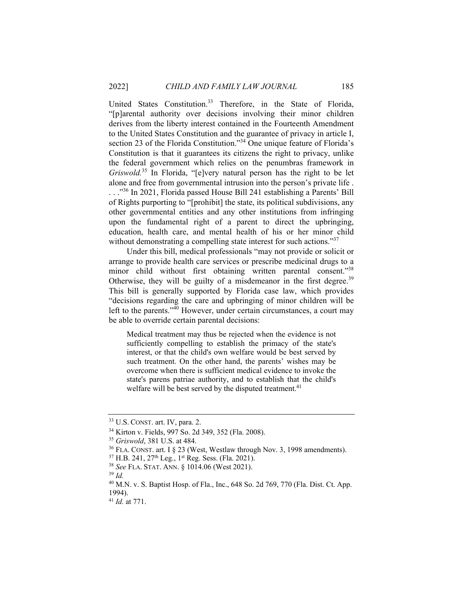United States Constitution.<sup>33</sup> Therefore, in the State of Florida, "[p]arental authority over decisions involving their minor children derives from the liberty interest contained in the Fourteenth Amendment to the United States Constitution and the guarantee of privacy in article I, section 23 of the Florida Constitution."<sup>34</sup> One unique feature of Florida's Constitution is that it guarantees its citizens the right to privacy, unlike the federal government which relies on the penumbras framework in *Griswold.*35 In Florida, "[e]very natural person has the right to be let alone and free from governmental intrusion into the person's private life . . . .<sup>356</sup> In 2021, Florida passed House Bill 241 establishing a Parents' Bill of Rights purporting to "[prohibit] the state, its political subdivisions, any other governmental entities and any other institutions from infringing upon the fundamental right of a parent to direct the upbringing, education, health care, and mental health of his or her minor child without demonstrating a compelling state interest for such actions."<sup>37</sup>

Under this bill, medical professionals "may not provide or solicit or arrange to provide health care services or prescribe medicinal drugs to a minor child without first obtaining written parental consent."38 Otherwise, they will be guilty of a misdemeanor in the first degree.<sup>39</sup> This bill is generally supported by Florida case law, which provides "decisions regarding the care and upbringing of minor children will be left to the parents."<sup>40</sup> However, under certain circumstances, a court may be able to override certain parental decisions:

Medical treatment may thus be rejected when the evidence is not sufficiently compelling to establish the primacy of the state's interest, or that the child's own welfare would be best served by such treatment. On the other hand, the parents' wishes may be overcome when there is sufficient medical evidence to invoke the state's parens patriae authority, and to establish that the child's welfare will be best served by the disputed treatment.<sup>41</sup>

<sup>&</sup>lt;sup>33</sup> U.S. CONST. art. IV, para. 2.<br><sup>34</sup> Kirton v. Fields, 997 So. 2d 349, 352 (Fla. 2008).

<sup>&</sup>lt;sup>35</sup> Griswold, 381 U.S. at 484.<br><sup>36</sup> FLA. CONST. art. I § 23 (West, Westlaw through Nov. 3, 1998 amendments).<br><sup>37</sup> H.B. 241, 27<sup>th</sup> Leg., 1<sup>st</sup> Reg. Sess. (Fla. 2021).<br><sup>38</sup> See FLA. STAT. ANN. § 1014.06 (West 2021).<br><sup>39</sup>

<sup>40</sup> M.N. v. S. Baptist Hosp. of Fla., Inc., 648 So. 2d 769, 770 (Fla. Dist. Ct. App. 1994).

<sup>41</sup> *Id.* at 771.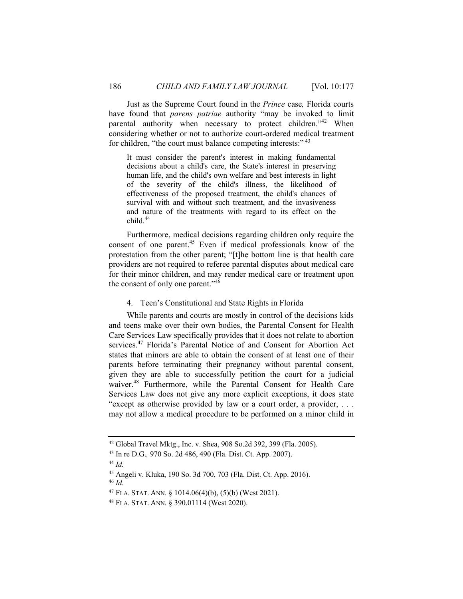Just as the Supreme Court found in the *Prince* case*,* Florida courts have found that *parens patriae* authority "may be invoked to limit parental authority when necessary to protect children."<sup>42</sup> When considering whether or not to authorize court-ordered medical treatment for children, "the court must balance competing interests:"<sup>43</sup>

It must consider the parent's interest in making fundamental decisions about a child's care, the State's interest in preserving human life, and the child's own welfare and best interests in light of the severity of the child's illness, the likelihood of effectiveness of the proposed treatment, the child's chances of survival with and without such treatment, and the invasiveness and nature of the treatments with regard to its effect on the child.<sup>44</sup>

Furthermore, medical decisions regarding children only require the consent of one parent.45 Even if medical professionals know of the protestation from the other parent; "[t]he bottom line is that health care providers are not required to referee parental disputes about medical care for their minor children, and may render medical care or treatment upon the consent of only one parent."<sup>46</sup>

# 4. Teen's Constitutional and State Rights in Florida

While parents and courts are mostly in control of the decisions kids and teens make over their own bodies, the Parental Consent for Health Care Services Law specifically provides that it does not relate to abortion services.<sup>47</sup> Florida's Parental Notice of and Consent for Abortion Act states that minors are able to obtain the consent of at least one of their parents before terminating their pregnancy without parental consent, given they are able to successfully petition the court for a judicial waiver.<sup>48</sup> Furthermore, while the Parental Consent for Health Care Services Law does not give any more explicit exceptions, it does state "except as otherwise provided by law or a court order, a provider, . . . may not allow a medical procedure to be performed on a minor child in

<sup>46</sup> *Id.*

<sup>42</sup> Global Travel Mktg., Inc. v. Shea, 908 So.2d 392, 399 (Fla. 2005).

<sup>43</sup> In re D.G.*,* 970 So. 2d 486, 490 (Fla. Dist. Ct. App. 2007). 44 *Id.* 

<sup>45</sup> Angeli v. Kluka, 190 So. 3d 700, 703 (Fla. Dist. Ct. App. 2016).

<sup>&</sup>lt;sup>47</sup> FLA. STAT. ANN. § 1014.06(4)(b), (5)(b) (West 2021).<br><sup>48</sup> FLA. STAT. ANN. § 390.01114 (West 2020).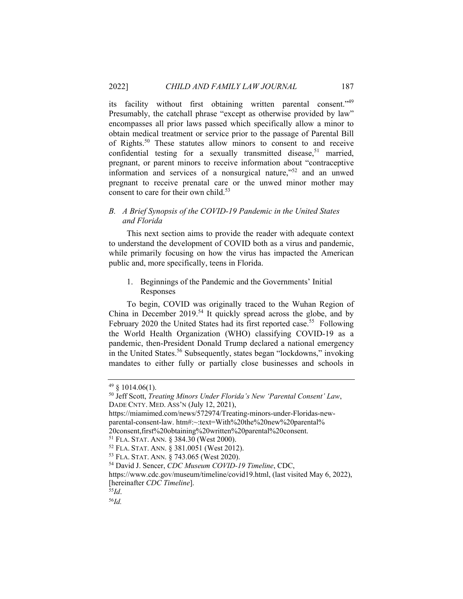its facility without first obtaining written parental consent."49 Presumably, the catchall phrase "except as otherwise provided by law" encompasses all prior laws passed which specifically allow a minor to obtain medical treatment or service prior to the passage of Parental Bill of Rights.50 These statutes allow minors to consent to and receive confidential testing for a sexually transmitted disease,<sup>51</sup> married, pregnant, or parent minors to receive information about "contraceptive information and services of a nonsurgical nature," $52$  and an unwed pregnant to receive prenatal care or the unwed minor mother may consent to care for their own child. $53$ 

# *B. A Brief Synopsis of the COVID-19 Pandemic in the United States and Florida*

This next section aims to provide the reader with adequate context to understand the development of COVID both as a virus and pandemic, while primarily focusing on how the virus has impacted the American public and, more specifically, teens in Florida.

1. Beginnings of the Pandemic and the Governments' Initial Responses

To begin, COVID was originally traced to the Wuhan Region of China in December  $2019^{54}$  It quickly spread across the globe, and by February 2020 the United States had its first reported case.<sup>55</sup> Following the World Health Organization (WHO) classifying COVID-19 as a pandemic, then-President Donald Trump declared a national emergency in the United States.<sup>56</sup> Subsequently, states began "lockdowns," invoking mandates to either fully or partially close businesses and schools in

 $49 \& 1014.06(1)$ .

<sup>50</sup> Jeff Scott, *Treating Minors Under Florida's New 'Parental Consent' Law*, DADE CNTY. MED. ASS'N (July 12, 2021),

https://miamimed.com/news/572974/Treating-minors-under-Floridas-newparental-consent-law. htm#:~:text=With%20the%20new%20parental%

<sup>20</sup>consent,first%20obtaining%20written%20parental%20consent.<br><sup>51</sup> FLA. STAT. ANN. § 384.30 (West 2000).<br><sup>52</sup> FLA. STAT. ANN. § 381.0051 (West 2012).<br><sup>53</sup> FLA. STAT. ANN. § 743.065 (West 2020).<br><sup>54</sup> David J. Sencer, *CDC Mus* 

https://www.cdc.gov/museum/timeline/covid19.html, (last visited May 6, 2022), [hereinafter *CDC Timeline*]. 55*Id*. 56*Id.*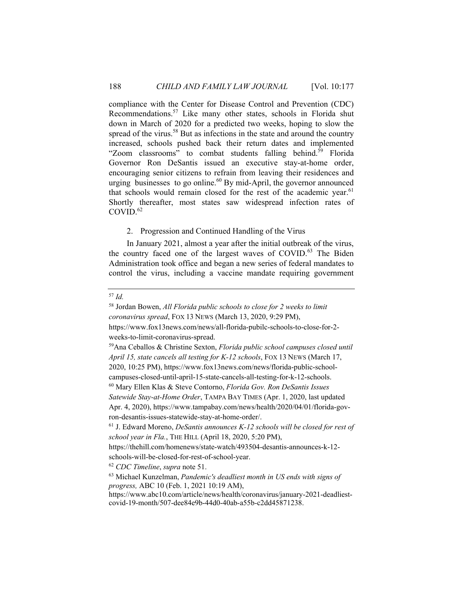compliance with the Center for Disease Control and Prevention (CDC) Recommendations.57 Like many other states, schools in Florida shut down in March of 2020 for a predicted two weeks, hoping to slow the spread of the virus.<sup>58</sup> But as infections in the state and around the country increased, schools pushed back their return dates and implemented "Zoom classrooms" to combat students falling behind.<sup>59</sup> Florida Governor Ron DeSantis issued an executive stay-at-home order, encouraging senior citizens to refrain from leaving their residences and urging businesses to go online. $60$  By mid-April, the governor announced that schools would remain closed for the rest of the academic year. $61$ Shortly thereafter, most states saw widespread infection rates of COVID.<sup>62</sup>

#### 2. Progression and Continued Handling of the Virus

In January 2021, almost a year after the initial outbreak of the virus, the country faced one of the largest waves of COVID.<sup>63</sup> The Biden Administration took office and began a new series of federal mandates to control the virus, including a vaccine mandate requiring government

# <sup>57</sup> *Id.*

<sup>58</sup> Jordan Bowen, *All Florida public schools to close for 2 weeks to limit coronavirus spread*, FOX 13 NEWS (March 13, 2020, 9:29 PM), https://www.fox13news.com/news/all-florida-pubilc-schools-to-close-for-2 weeks-to-limit-coronavirus-spread.<br><sup>59</sup>Ana Ceballos & Christine Sexton, *Florida public school campuses closed until April 15, state cancels all testing for K-12 schools*, FOX 13 NEWS (March 17, 2020, 10:25 PM), https://www.fox13news.com/news/florida-public-schoolcampuses-closed-until-april-15-state-cancels-all-testing-for-k-12-schools. 60 Mary Ellen Klas & Steve Contorno, *Florida Gov. Ron DeSantis Issues Satewide Stay-at-Home Order*, TAMPA BAY TIMES (Apr. 1, 2020, last updated Apr. 4, 2020), https://www.tampabay.com/news/health/2020/04/01/florida-govron-desantis-issues-statewide-stay-at-home-order/. 61 J. Edward Moreno, *DeSantis announces K-12 schools will be closed for rest of school year in Fla.*, THE HILL (April 18, 2020, 5:20 PM), https://thehill.com/homenews/state-watch/493504-desantis-announces-k-12 schools-will-be-closed-for-rest-of-school-year.<br><sup>62</sup> *CDC Timeline*, *supra* note 51.<br><sup>63</sup> Michael Kunzelman, *Pandemic's deadliest month in US ends with signs of progress,* ABC 10 (Feb. 1, 2021 10:19 AM), https://www.abc10.com/article/news/health/coronavirus/january-2021-deadliestcovid-19-month/507-dee84e9b-44d0-40ab-a55b-c2dd45871238.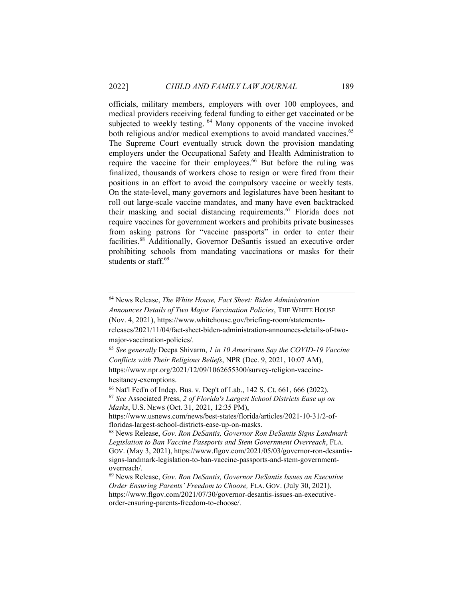officials, military members, employers with over 100 employees, and medical providers receiving federal funding to either get vaccinated or be subjected to weekly testing. <sup>64</sup> Many opponents of the vaccine invoked both religious and/or medical exemptions to avoid mandated vaccines.<sup>65</sup> The Supreme Court eventually struck down the provision mandating employers under the Occupational Safety and Health Administration to require the vaccine for their employees.<sup>66</sup> But before the ruling was finalized, thousands of workers chose to resign or were fired from their positions in an effort to avoid the compulsory vaccine or weekly tests. On the state-level, many governors and legislatures have been hesitant to roll out large-scale vaccine mandates, and many have even backtracked their masking and social distancing requirements.<sup>67</sup> Florida does not require vaccines for government workers and prohibits private businesses from asking patrons for "vaccine passports" in order to enter their facilities.<sup>68</sup> Additionally, Governor DeSantis issued an executive order prohibiting schools from mandating vaccinations or masks for their students or staff.<sup>69</sup>

major-vaccination-policies/.

<sup>65</sup> *See generally* Deepa Shivarm, *1 in 10 Americans Say the COVID-19 Vaccine Conflicts with Their Religious Beliefs*, NPR (Dec. 9, 2021, 10:07 AM), https://www.npr.org/2021/12/09/1062655300/survey-religion-vaccinehesitancy-exemptions.

<sup>64</sup> News Release, *The White House, Fact Sheet: Biden Administration* 

*Announces Details of Two Major Vaccination Policies*, THE WHITE HOUSE (Nov. 4, 2021), https://www.whitehouse.gov/briefing-room/statementsreleases/2021/11/04/fact-sheet-biden-administration-announces-details-of-two-

<sup>66</sup> Nat'l Fed'n of Indep. Bus. v. Dep't of Lab., 142 S. Ct. 661, 666 (2022). <sup>67</sup> *See* Associated Press, *2 of Florida's Largest School Districts Ease up on Masks*, U.S. NEWS (Oct. 31, 2021, 12:35 PM),

https://www.usnews.com/news/best-states/florida/articles/2021-10-31/2-offloridas-largest-school-districts-ease-up-on-masks.<br><sup>68</sup> News Release, *Gov. Ron DeSantis, Governor Ron DeSantis Signs Landmark* 

*Legislation to Ban Vaccine Passports and Stem Government Overreach*, FLA. GOV. (May 3, 2021), https://www.flgov.com/2021/05/03/governor-ron-desantissigns-landmark-legislation-to-ban-vaccine-passports-and-stem-governmentoverreach/.

<sup>69</sup> News Release, *Gov. Ron DeSantis, Governor DeSantis Issues an Executive Order Ensuring Parents' Freedom to Choose,* FLA. GOV. (July 30, 2021), https://www.flgov.com/2021/07/30/governor-desantis-issues-an-executiveorder-ensuring-parents-freedom-to-choose/.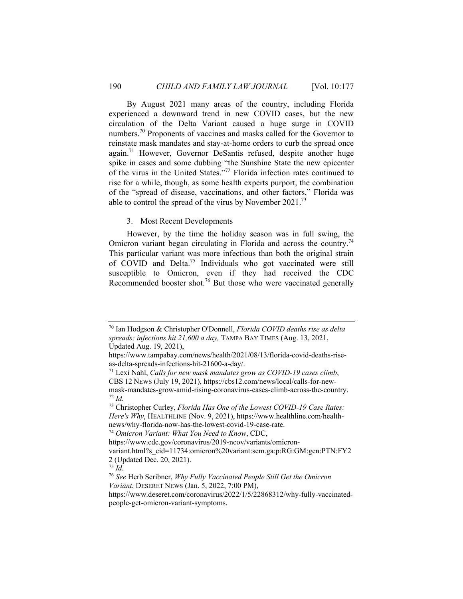By August 2021 many areas of the country, including Florida experienced a downward trend in new COVID cases, but the new circulation of the Delta Variant caused a huge surge in COVID numbers.<sup>70</sup> Proponents of vaccines and masks called for the Governor to reinstate mask mandates and stay-at-home orders to curb the spread once again.<sup>71</sup> However, Governor DeSantis refused, despite another huge spike in cases and some dubbing "the Sunshine State the new epicenter of the virus in the United States."72 Florida infection rates continued to rise for a while, though, as some health experts purport, the combination of the "spread of disease, vaccinations, and other factors," Florida was able to control the spread of the virus by November  $2021.^{73}$ 

#### 3. Most Recent Developments

However, by the time the holiday season was in full swing, the Omicron variant began circulating in Florida and across the country.<sup>74</sup> This particular variant was more infectious than both the original strain of COVID and Delta.<sup>75</sup> Individuals who got vaccinated were still susceptible to Omicron, even if they had received the CDC Recommended booster shot.<sup>76</sup> But those who were vaccinated generally

<sup>70</sup> Ian Hodgson & Christopher O'Donnell, *Florida COVID deaths rise as delta spreads; infections hit 21,600 a day,* TAMPA BAY TIMES (Aug. 13, 2021, Updated Aug. 19, 2021),

https://www.tampabay.com/news/health/2021/08/13/florida-covid-deaths-riseas-delta-spreads-infections-hit-21600-a-day/.

<sup>71</sup> Lexi Nahl, *Calls for new mask mandates grow as COVID-19 cases climb*, CBS 12 NEWS (July 19, 2021), https://cbs12.com/news/local/calls-for-newmask-mandates-grow-amid-rising-coronavirus-cases-climb-across-the-country. <sup>72</sup> *Id.* 

<sup>73</sup> Christopher Curley, *Florida Has One of the Lowest COVID-19 Case Rates: Here's Why*, HEALTHLINE (Nov. 9, 2021), https://www.healthline.com/healthnews/why-florida-now-has-the-lowest-covid-19-case-rate.

<sup>74</sup> *Omicron Variant: What You Need to Know*, CDC,

https://www.cdc.gov/coronavirus/2019-ncov/variants/omicron-

variant.html?s\_cid=11734:omicron%20variant:sem.ga:p:RG:GM:gen:PTN:FY2 2 (Updated Dec. 20, 2021).

<sup>75</sup> *Id.*

<sup>76</sup> *See* Herb Scribner, *Why Fully Vaccinated People Still Get the Omicron Variant*, DESERET NEWS (Jan. 5, 2022, 7:00 PM),

https://www.deseret.com/coronavirus/2022/1/5/22868312/why-fully-vaccinatedpeople-get-omicron-variant-symptoms.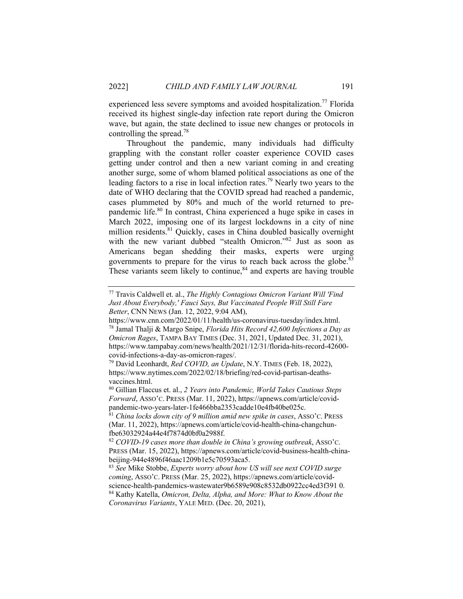experienced less severe symptoms and avoided hospitalization.<sup>77</sup> Florida received its highest single-day infection rate report during the Omicron wave, but again, the state declined to issue new changes or protocols in controlling the spread.78

Throughout the pandemic, many individuals had difficulty grappling with the constant roller coaster experience COVID cases getting under control and then a new variant coming in and creating another surge, some of whom blamed political associations as one of the leading factors to a rise in local infection rates.79 Nearly two years to the date of WHO declaring that the COVID spread had reached a pandemic, cases plummeted by 80% and much of the world returned to prepandemic life.<sup>80</sup> In contrast, China experienced a huge spike in cases in March 2022, imposing one of its largest lockdowns in a city of nine million residents.<sup>81</sup> Quickly, cases in China doubled basically overnight with the new variant dubbed "stealth Omicron."<sup>82</sup> Just as soon as Americans began shedding their masks, experts were urging governments to prepare for the virus to reach back across the globe.<sup>83</sup> These variants seem likely to continue, $84$  and experts are having trouble

<sup>77</sup> Travis Caldwell et. al., *The Highly Contagious Omicron Variant Will 'Find Just About Everybody,' Fauci Says, But Vaccinated People Will Still Fare Better*, CNN NEWS (Jan. 12, 2022, 9:04 AM),

https://www.cnn.com/2022/01/11/health/us-coronavirus-tuesday/index.html. 78 Jamal Thalji & Margo Snipe, *Florida Hits Record 42,600 Infections a Day as Omicron Rages*, TAMPA BAY TIMES (Dec. 31, 2021, Updated Dec. 31, 2021), https://www.tampabay.com/news/health/2021/12/31/florida-hits-record-42600 covid-infections-a-day-as-omicron-rages/.

<sup>79</sup> David Leonhardt, *Red COVID, an Update*, N.Y. TIMES (Feb. 18, 2022), https://www.nytimes.com/2022/02/18/briefing/red-covid-partisan-deathsvaccines.html.

<sup>80</sup> Gillian Flaccus et. al., *2 Years into Pandemic, World Takes Cautious Steps Forward*, ASSO'C. PRESS (Mar. 11, 2022), https://apnews.com/article/covidpandemic-two-years-later-1fe466bba2353cadde10e4fb40be025c.

<sup>81</sup> *China locks down city of 9 million amid new spike in cases*, ASSO'C. PRESS (Mar. 11, 2022), https://apnews.com/article/covid-health-china-changchunfbe63032924a44e4f7874d0bf0a2988f.

<sup>82</sup> *COVID-19 cases more than double in China's growing outbreak*, ASSO'C. PRESS (Mar. 15, 2022), https://apnews.com/article/covid-business-health-chinabeijing-944e4896f46aac1209b1e5c70593aca5.

<sup>83</sup> *See* Mike Stobbe, *Experts worry about how US will see next COVID surge coming*, ASSO'C. PRESS (Mar. 25, 2022), https://apnews.com/article/covid-

science-health-pandemics-wastewater9b6589e908c8532db0922cc4ed3f391 0. 84 Kathy Katella, *Omicron, Delta, Alpha, and More: What to Know About the Coronavirus Variants*, YALE MED. (Dec. 20, 2021),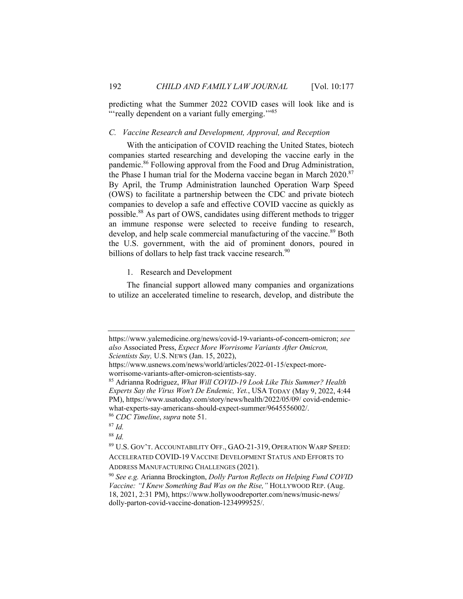predicting what the Summer 2022 COVID cases will look like and is "'really dependent on a variant fully emerging."<sup>85</sup>

#### *C. Vaccine Research and Development, Approval, and Reception*

With the anticipation of COVID reaching the United States, biotech companies started researching and developing the vaccine early in the pandemic.86 Following approval from the Food and Drug Administration, the Phase I human trial for the Moderna vaccine began in March 2020.<sup>87</sup> By April, the Trump Administration launched Operation Warp Speed (OWS) to facilitate a partnership between the CDC and private biotech companies to develop a safe and effective COVID vaccine as quickly as possible.88 As part of OWS, candidates using different methods to trigger an immune response were selected to receive funding to research, develop, and help scale commercial manufacturing of the vaccine.<sup>89</sup> Both the U.S. government, with the aid of prominent donors, poured in billions of dollars to help fast track vaccine research.<sup>90</sup>

1. Research and Development

The financial support allowed many companies and organizations to utilize an accelerated timeline to research, develop, and distribute the

https://www.yalemedicine.org/news/covid-19-variants-of-concern-omicron; *see also* Associated Press, *Expect More Worrisome Variants After Omicron, Scientists Say,* U.S. NEWS (Jan. 15, 2022),

https://www.usnews.com/news/world/articles/2022-01-15/expect-more-

worrisome-variants-after-omicron-scientists-say. 85 Adrianna Rodriguez, *What Will COVID-19 Look Like This Summer? Health Experts Say the Virus Won't De Endemic, Yet.*, USA TODAY (May 9, 2022, 4:44 PM), https://www.usatoday.com/story/news/health/2022/05/09/ covid-endemicwhat-experts-say-americans-should-expect-summer/9645556002/. 86 *CDC Timeline*, *supra* note 51. 87 *Id.*

<sup>88</sup> *Id.* 

<sup>89</sup> U.S. GOV'T. ACCOUNTABILITY OFF., GAO-21-319, OPERATION WARP SPEED: ACCELERATED COVID-19 VACCINE DEVELOPMENT STATUS AND EFFORTS TO

ADDRESS MANUFACTURING CHALLENGES (2021). 90 *See e.g.* Arianna Brockington, *Dolly Parton Reflects on Helping Fund COVID Vaccine: "I Knew Something Bad Was on the Rise,"* HOLLYWOOD REP. (Aug. 18, 2021, 2:31 PM), https://www.hollywoodreporter.com/news/music-news/ dolly-parton-covid-vaccine-donation-1234999525/.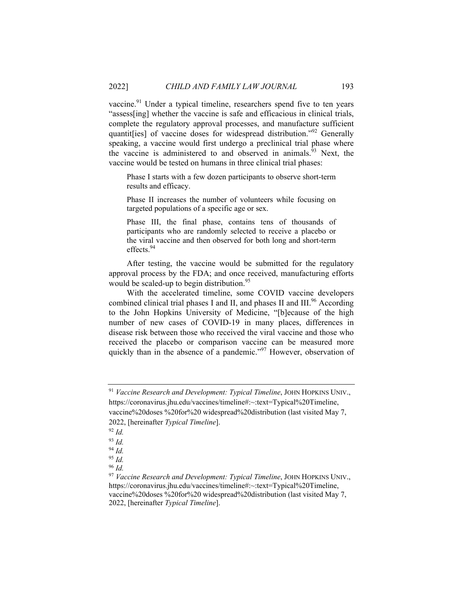vaccine.<sup>91</sup> Under a typical timeline, researchers spend five to ten years "assess[ing] whether the vaccine is safe and efficacious in clinical trials, complete the regulatory approval processes, and manufacture sufficient quantit[ies] of vaccine doses for widespread distribution."92 Generally speaking, a vaccine would first undergo a preclinical trial phase where the vaccine is administered to and observed in animals.<sup>93</sup> Next, the vaccine would be tested on humans in three clinical trial phases:

Phase I starts with a few dozen participants to observe short-term results and efficacy.

Phase II increases the number of volunteers while focusing on targeted populations of a specific age or sex.

Phase III, the final phase, contains tens of thousands of participants who are randomly selected to receive a placebo or the viral vaccine and then observed for both long and short-term effects.94

After testing, the vaccine would be submitted for the regulatory approval process by the FDA; and once received, manufacturing efforts would be scaled-up to begin distribution.<sup>95</sup>

With the accelerated timeline, some COVID vaccine developers combined clinical trial phases I and II, and phases II and III.<sup>96</sup> According to the John Hopkins University of Medicine, "[b]ecause of the high number of new cases of COVID-19 in many places, differences in disease risk between those who received the viral vaccine and those who received the placebo or comparison vaccine can be measured more quickly than in the absence of a pandemic."<sup>97</sup> However, observation of

<sup>91</sup> *Vaccine Research and Development: Typical Timeline*, JOHN HOPKINS UNIV., https://coronavirus.jhu.edu/vaccines/timeline#:~:text=Typical%20Timeline, vaccine%20doses %20for%20 widespread%20distribution (last visited May 7,

<sup>2022, [</sup>hereinafter *Typical Timeline*]. 92 *Id.* 

<sup>93</sup> *Id.* 

<sup>94</sup> *Id.*

<sup>95</sup> *Id.*

<sup>96</sup> *Id.*

<sup>97</sup> *Vaccine Research and Development: Typical Timeline*, JOHN HOPKINS UNIV., https://coronavirus.jhu.edu/vaccines/timeline#:~:text=Typical%20Timeline, vaccine%20doses %20for%20 widespread%20distribution (last visited May 7, 2022, [hereinafter *Typical Timeline*].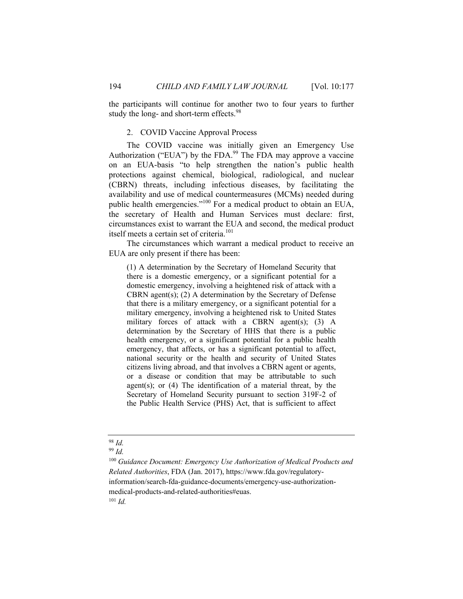the participants will continue for another two to four years to further study the long- and short-term effects.<sup>98</sup>

## 2. COVID Vaccine Approval Process

The COVID vaccine was initially given an Emergency Use Authorization ("EUA") by the FDA.<sup>99</sup> The FDA may approve a vaccine on an EUA-basis "to help strengthen the nation's public health protections against chemical, biological, radiological, and nuclear (CBRN) threats, including infectious diseases, by facilitating the availability and use of medical countermeasures (MCMs) needed during public health emergencies."100 For a medical product to obtain an EUA, the secretary of Health and Human Services must declare: first, circumstances exist to warrant the EUA and second, the medical product itself meets a certain set of criteria.<sup>101</sup>

The circumstances which warrant a medical product to receive an EUA are only present if there has been:

(1) A determination by the Secretary of Homeland Security that there is a domestic emergency, or a significant potential for a domestic emergency, involving a heightened risk of attack with a CBRN agent(s); (2) A determination by the Secretary of Defense that there is a military emergency, or a significant potential for a military emergency, involving a heightened risk to United States military forces of attack with a CBRN agent(s);  $(3)$  A determination by the Secretary of HHS that there is a public health emergency, or a significant potential for a public health emergency, that affects, or has a significant potential to affect, national security or the health and security of United States citizens living abroad, and that involves a CBRN agent or agents, or a disease or condition that may be attributable to such agent(s); or  $(4)$  The identification of a material threat, by the Secretary of Homeland Security pursuant to section 319F-2 of the Public Health Service (PHS) Act, that is sufficient to affect

<sup>99</sup> *Id.* 

<sup>100</sup> *Guidance Document: Emergency Use Authorization of Medical Products and Related Authorities*, FDA (Jan. 2017), https://www.fda.gov/regulatoryinformation/search-fda-guidance-documents/emergency-use-authorizationmedical-products-and-related-authorities#euas. <sup>101</sup> *Id.* 

<sup>98</sup> *Id.*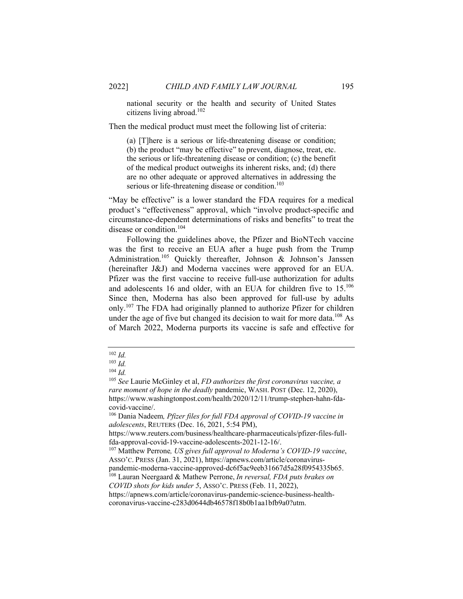national security or the health and security of United States citizens living abroad.102

Then the medical product must meet the following list of criteria:

(a) [T]here is a serious or life-threatening disease or condition; (b) the product "may be effective" to prevent, diagnose, treat, etc. the serious or life-threatening disease or condition; (c) the benefit of the medical product outweighs its inherent risks, and; (d) there are no other adequate or approved alternatives in addressing the serious or life-threatening disease or condition.<sup>103</sup>

"May be effective" is a lower standard the FDA requires for a medical product's "effectiveness" approval, which "involve product-specific and circumstance-dependent determinations of risks and benefits" to treat the disease or condition.<sup>104</sup>

Following the guidelines above, the Pfizer and BioNTech vaccine was the first to receive an EUA after a huge push from the Trump Administration.<sup>105</sup> Quickly thereafter, Johnson & Johnson's Janssen (hereinafter J&J) and Moderna vaccines were approved for an EUA. Pfizer was the first vaccine to receive full-use authorization for adults and adolescents 16 and older, with an EUA for children five to 15.<sup>106</sup> Since then, Moderna has also been approved for full-use by adults only.<sup>107</sup> The FDA had originally planned to authorize Pfizer for children under the age of five but changed its decision to wait for more data.<sup>108</sup> As of March 2022, Moderna purports its vaccine is safe and effective for

<sup>102</sup> *Id.*

 $\frac{103}{104}$  *Id.* 

<sup>104</sup> *Id.* 105 *See* Laurie McGinley et al, *FD authorizes the first coronavirus vaccine, a rare moment of hope in the deadly* pandemic, WASH. POST (Dec. 12, 2020), https://www.washingtonpost.com/health/2020/12/11/trump-stephen-hahn-fdacovid-vaccine/.

<sup>106</sup> Dania Nadeem*, Pfizer files for full FDA approval of COVID-19 vaccine in adolescents*, REUTERS (Dec. 16, 2021, 5:54 PM),

https://www.reuters.com/business/healthcare-pharmaceuticals/pfizer-files-fullfda-approval-covid-19-vaccine-adolescents-2021-12-16/. 107 Matthew Perrone*, US gives full approval to Moderna's COVID-19 vaccine*,

ASSO'C. PRESS (Jan. 31, 2021), https://apnews.com/article/coronaviruspandemic-moderna-vaccine-approved-dc6f5ac9eeb31667d5a28f0954335b65. 108 Lauran Neergaard & Mathew Perrone, *In reversal, FDA puts brakes on* 

*COVID shots for kids under 5*, ASSO'C. PRESS (Feb. 11, 2022),

https://apnews.com/article/coronavirus-pandemic-science-business-healthcoronavirus-vaccine-c283d0644db46578f18b0b1aa1bfb9a0?utm.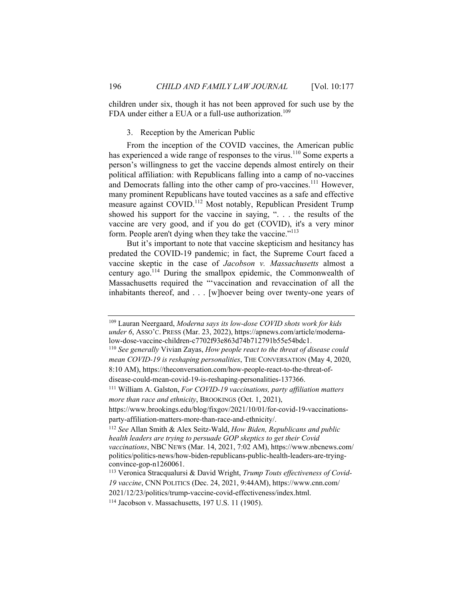children under six, though it has not been approved for such use by the FDA under either a EUA or a full-use authorization.<sup>109</sup>

# 3. Reception by the American Public

From the inception of the COVID vaccines, the American public has experienced a wide range of responses to the virus.<sup>110</sup> Some experts a person's willingness to get the vaccine depends almost entirely on their political affiliation: with Republicans falling into a camp of no-vaccines and Democrats falling into the other camp of pro-vaccines.<sup>111</sup> However, many prominent Republicans have touted vaccines as a safe and effective measure against COVID.<sup>112</sup> Most notably, Republican President Trump showed his support for the vaccine in saying, ". . . the results of the vaccine are very good, and if you do get (COVID), it's a very minor form. People aren't dying when they take the vaccine."<sup>113</sup>

But it's important to note that vaccine skepticism and hesitancy has predated the COVID-19 pandemic; in fact, the Supreme Court faced a vaccine skeptic in the case of *Jacobson v. Massachusetts* almost a century ago.<sup>114</sup> During the smallpox epidemic, the Commonwealth of Massachusetts required the "'vaccination and revaccination of all the inhabitants thereof, and . . . [w]hoever being over twenty-one years of

disease-could-mean-covid-19-is-reshaping-personalities-137366. 111 William A. Galston, *For COVID-19 vaccinations, party affiliation matters more than race and ethnicity*, BROOKINGS (Oct. 1, 2021),

https://www.brookings.edu/blog/fixgov/2021/10/01/for-covid-19-vaccinationsparty-affiliation-matters-more-than-race-and-ethnicity/. 112 *See* Allan Smith & Alex Seitz-Wald, *How Biden, Republicans and public* 

<sup>109</sup> Lauran Neergaard, *Moderna says its low-dose COVID shots work for kids under 6*, ASSO'C. PRESS (Mar. 23, 2022), https://apnews.com/article/modernalow-dose-vaccine-children-c7702f93e863d74b712791b55e54bdc1. 110 *See generally* Vivian Zayas, *How people react to the threat of disease could* 

*mean COVID-19 is reshaping personalities*, THE CONVERSATION (May 4, 2020, 8:10 AM), https://theconversation.com/how-people-react-to-the-threat-of-

*health leaders are trying to persuade GOP skeptics to get their Covid vaccinations*, NBC NEWS (Mar. 14, 2021, 7:02 AM), https://www.nbcnews.com/ politics/politics-news/how-biden-republicans-public-health-leaders-are-tryingconvince-gop-n1260061.

<sup>113</sup> Veronica Stracqualursi & David Wright, *Trump Touts effectiveness of Covid-19 vaccine*, CNN POLITICS (Dec. 24, 2021, 9:44AM), https://www.cnn.com/

<sup>2021/12/23/</sup>politics/trump-vaccine-covid-effectiveness/index.html.

<sup>114</sup> Jacobson v. Massachusetts, 197 U.S. 11 (1905).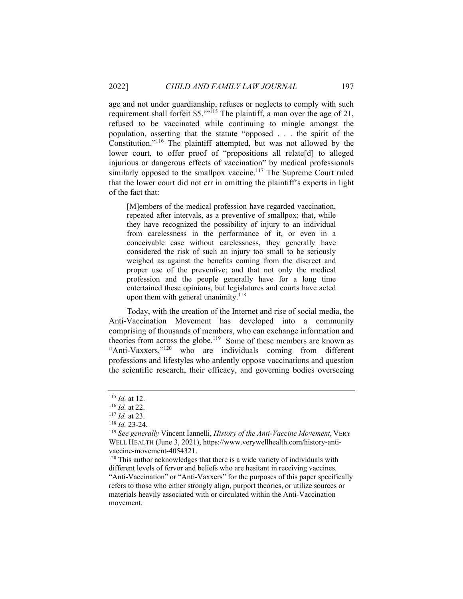age and not under guardianship, refuses or neglects to comply with such requirement shall forfeit \$5."<sup>115</sup> The plaintiff, a man over the age of 21, refused to be vaccinated while continuing to mingle amongst the population, asserting that the statute "opposed . . . the spirit of the Constitution."116 The plaintiff attempted, but was not allowed by the lower court, to offer proof of "propositions all relate[d] to alleged injurious or dangerous effects of vaccination" by medical professionals similarly opposed to the smallpox vaccine.<sup>117</sup> The Supreme Court ruled that the lower court did not err in omitting the plaintiff's experts in light of the fact that:

[M]embers of the medical profession have regarded vaccination, repeated after intervals, as a preventive of smallpox; that, while they have recognized the possibility of injury to an individual from carelessness in the performance of it, or even in a conceivable case without carelessness, they generally have considered the risk of such an injury too small to be seriously weighed as against the benefits coming from the discreet and proper use of the preventive; and that not only the medical profession and the people generally have for a long time entertained these opinions, but legislatures and courts have acted upon them with general unanimity. $118$ 

Today, with the creation of the Internet and rise of social media, the Anti-Vaccination Movement has developed into a community comprising of thousands of members, who can exchange information and theories from across the globe.<sup>119</sup> Some of these members are known as "Anti-Vaxxers,"<sup>120</sup> who are individuals coming from different professions and lifestyles who ardently oppose vaccinations and question the scientific research, their efficacy, and governing bodies overseeing

<sup>115</sup> *Id.* at 12.<br><sup>116</sup> *Id.* at 22.<br><sup>117</sup> *Id.* at 23.<br><sup>118</sup> *Id.* 23-24.<br><sup>119</sup> *See generally* Vincent Iannelli, *History of the Anti-Vaccine Movement*, VERY WELL HEALTH (June 3, 2021), https://www.verywellhealth.com/history-antivaccine-movement-4054321.

 $120$  This author acknowledges that there is a wide variety of individuals with different levels of fervor and beliefs who are hesitant in receiving vaccines. "Anti-Vaccination" or "Anti-Vaxxers" for the purposes of this paper specifically refers to those who either strongly align, purport theories, or utilize sources or materials heavily associated with or circulated within the Anti-Vaccination movement.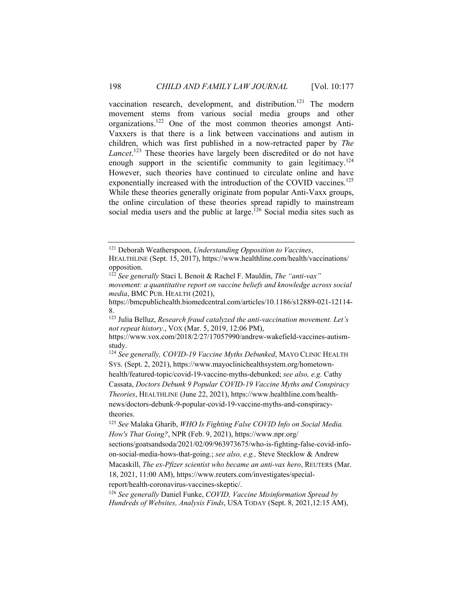vaccination research, development, and distribution.<sup>121</sup> The modern movement stems from various social media groups and other organizations.122 One of the most common theories amongst Anti-Vaxxers is that there is a link between vaccinations and autism in children, which was first published in a now-retracted paper by *The Lancet*. 123 These theories have largely been discredited or do not have enough support in the scientific community to gain legitimacy.<sup>124</sup> However, such theories have continued to circulate online and have exponentially increased with the introduction of the COVID vaccines.<sup>125</sup> While these theories generally originate from popular Anti-Vaxx groups, the online circulation of these theories spread rapidly to mainstream social media users and the public at large.<sup>126</sup> Social media sites such as

HEALTHLINE (Sept. 15, 2017), https://www.healthline.com/health/vaccinations/ opposition.

*movement: a quantitative report on vaccine beliefs and knowledge across social media*, BMC PUB. HEALTH (2021),

https://bmcpublichealth.biomedcentral.com/articles/10.1186/s12889-021-12114- 8.

123 Julia Belluz, *Research fraud catalyzed the anti-vaccination movement. Let's not repeat history.*, VOX (Mar. 5, 2019, 12:06 PM),

https://www.vox.com/2018/2/27/17057990/andrew-wakefield-vaccines-autismstudy.

<sup>124</sup> *See generally, COVID-19 Vaccine Myths Debunked*, MAYO CLINIC HEALTH SYS. (Sept. 2, 2021), https://www.mayoclinichealthsystem.org/hometown-

theories.

Macaskill, *The ex-Pfizer scientist who became an anti-vax hero*, REUTERS (Mar. 18, 2021, 11:00 AM), https://www.reuters.com/investigates/specialreport/health-coronavirus-vaccines-skeptic/.

<sup>126</sup> *See generally* Daniel Funke, *COVID, Vaccine Misinformation Spread by Hundreds of Websites, Analysis Finds*, USA TODAY (Sept. 8, 2021,12:15 AM),

<sup>121</sup> Deborah Weatherspoon, *Understanding Opposition to Vaccines*,

<sup>122</sup> *See generally* Staci L Benoit & Rachel F. Mauldin, *The "anti-vax"* 

health/featured-topic/covid-19-vaccine-myths-debunked; *see also, e.g.* Cathy Cassata, *Doctors Debunk 9 Popular COVID-19 Vaccine Myths and Conspiracy Theories*, HEALTHLINE (June 22, 2021), https://www.healthline.com/healthnews/doctors-debunk-9-popular-covid-19-vaccine-myths-and-conspiracy-

<sup>125</sup> *See* Malaka Gharib, *WHO Is Fighting False COVID Info on Social Media. How's That Going?*, NPR (Feb. 9, 2021), https://www.npr.org/ sections/goatsandsoda/2021/02/09/963973675/who-is-fighting-false-covid-infoon-social-media-hows-that-going.; *see also, e.g.,* Steve Stecklow & Andrew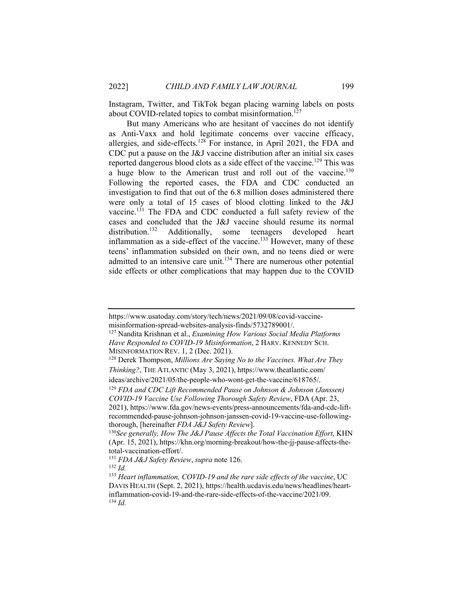Instagram, Twitter, and TikTok began placing warning labels on posts about COVID-related topics to combat misinformation.<sup>127</sup>

But many Americans who are hesitant of vaccines do not identify as Anti-Vaxx and hold legitimate concerns over vaccine efficacy, allergies, and side-effects.<sup>128</sup> For instance, in April 2021, the FDA and CDC put a pause on the J&J vaccine distribution after an initial six cases reported dangerous blood clots as a side effect of the vaccine.<sup>129</sup> This was a huge blow to the American trust and roll out of the vaccine.<sup>130</sup> Following the reported cases, the FDA and CDC conducted an investigation to find that out of the 6.8 million doses administered there were only a total of 15 cases of blood clotting linked to the J&J vaccine.131 The FDA and CDC conducted a full safety review of the cases and concluded that the J&J vaccine should resume its normal distribution.<sup>132</sup> Additionally, some teenagers developed heart Additionally, some teenagers developed heart inflammation as a side-effect of the vaccine.<sup>133</sup> However, many of these teens' inflammation subsided on their own, and no teens died or were admitted to an intensive care unit.<sup>134</sup> There are numerous other potential side effects or other complications that may happen due to the COVID

127 Nandita Krishnan et al., *Examining How Various Social Media Platforms Have Responded to COVID-19 Misinformation*, 2 HARV. KENNEDY SCH. MISINFORMATION REV. 1, 2 (Dec. 2021).<br><sup>128</sup> Derek Thompson, *Millions Are Saying No to the Vaccines. What Are They* 

https://www.usatoday.com/story/tech/news/2021/09/08/covid-vaccinemisinformation-spread-websites-analysis-finds/5732789001/.

*Thinking?*, THE ATLANTIC (May 3, 2021), https://www.theatlantic.com/ ideas/archive/2021/05/the-people-who-wont-get-the-vaccine/618765/.

<sup>129</sup> *FDA and CDC Lift Recommended Pause on Johnson & Johnson (Janssen) COVID-19 Vaccine Use Following Thorough Safety Review*, FDA (Apr. 23, 2021), https://www.fda.gov/news-events/press-announcements/fda-and-cdc-liftrecommended-pause-johnson-johnson-janssen-covid-19-vaccine-use-followingthorough, [hereinafter *FDA J&J Safety Review*]. 130*See generally, How The J&J Pause Affects the Total Vaccination Effort*, KHN

<sup>(</sup>Apr. 15, 2021), https://khn.org/morning-breakout/how-the-jj-pause-affects-thetotal-vaccination-effort/.

<sup>131</sup> *FDA J&J Safety Review*, *supra* note 126. 132 *Id.*

<sup>133</sup> *Heart inflammation, COVID-19 and the rare side effects of the vaccine*, UC DAVIS HEALTH (Sept. 2, 2021), https://health.ucdavis.edu/news/headlines/heartinflammation-covid-19-and-the-rare-side-effects-of-the-vaccine/2021/09.  $^{134}$  *Id.*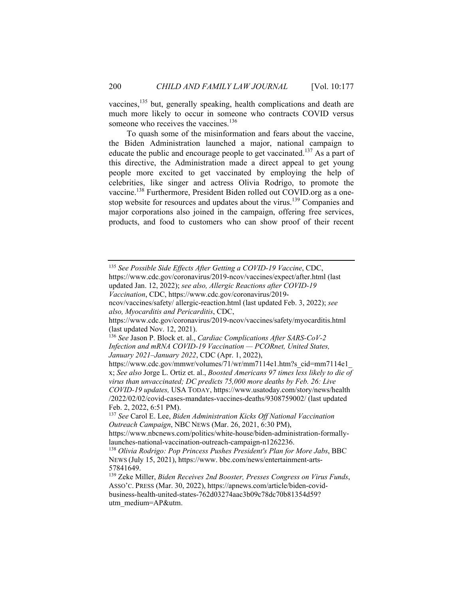vaccines,<sup>135</sup> but, generally speaking, health complications and death are much more likely to occur in someone who contracts COVID versus someone who receives the vaccines.<sup>136</sup>

To quash some of the misinformation and fears about the vaccine, the Biden Administration launched a major, national campaign to educate the public and encourage people to get vaccinated.<sup>137</sup> As a part of this directive, the Administration made a direct appeal to get young people more excited to get vaccinated by employing the help of celebrities, like singer and actress Olivia Rodrigo, to promote the vaccine.138 Furthermore, President Biden rolled out COVID.org as a onestop website for resources and updates about the virus.139 Companies and major corporations also joined in the campaign, offering free services, products, and food to customers who can show proof of their recent

<sup>135</sup> *See Possible Side Effects After Getting a COVID-19 Vaccine*, CDC, https://www.cdc.gov/coronavirus/2019-ncov/vaccines/expect/after.html (last updated Jan. 12, 2022); *see also, Allergic Reactions after COVID-19 Vaccination*, CDC, https://www.cdc.gov/coronavirus/2019 ncov/vaccines/safety/ allergic-reaction.html (last updated Feb. 3, 2022); *see also, Myocarditis and Pericarditis*, CDC, https://www.cdc.gov/coronavirus/2019-ncov/vaccines/safety/myocarditis.html (last updated Nov. 12, 2021). <sup>136</sup> *See* Jason P. Block et. al., *Cardiac Complications After SARS-CoV-2 Infection and mRNA COVID-19 Vaccination — PCORnet, United States, January 2021–January 2022*, CDC (Apr. 1, 2022), https://www.cdc.gov/mmwr/volumes/71/wr/mm7114e1.htm?s\_cid=mm7114e1\_ x; *See also* Jorge L. Ortiz et. al., *Boosted Americans 97 times less likely to die of virus than unvaccinated; DC predicts 75,000 more deaths by Feb. 26: Live COVID-19 updates,* USA TODAY, https://www.usatoday.com/story/news/health /2022/02/02/covid-cases-mandates-vaccines-deaths/9308759002/ (last updated Feb. 2, 2022, 6:51 PM). <sup>137</sup> *See* Carol E. Lee, *Biden Administration Kicks Off National Vaccination Outreach Campaign*, NBC NEWS (Mar. 26, 2021, 6:30 PM), https://www.nbcnews.com/politics/white-house/biden-administration-formally-

launches-national-vaccination-outreach-campaign-n1262236. 138 *Olivia Rodrigo: Pop Princess Pushes President's Plan for More Jabs*, BBC NEWS (July 15, 2021), https://www. bbc.com/news/entertainment-arts-

<sup>57841649.</sup> 

<sup>139</sup> Zeke Miller, *Biden Receives 2nd Booster, Presses Congress on Virus Funds*, ASSO'C. PRESS (Mar. 30, 2022), https://apnews.com/article/biden-covidbusiness-health-united-states-762d03274aac3b09c78dc70b81354d59? utm\_medium=AP&utm.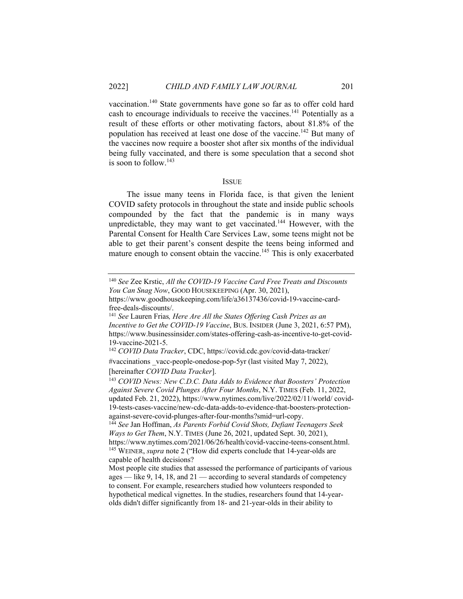vaccination.140 State governments have gone so far as to offer cold hard cash to encourage individuals to receive the vaccines.<sup>141</sup> Potentially as a result of these efforts or other motivating factors, about 81.8% of the population has received at least one dose of the vaccine.<sup>142</sup> But many of the vaccines now require a booster shot after six months of the individual being fully vaccinated, and there is some speculation that a second shot is soon to follow.143

#### ISSUE

The issue many teens in Florida face, is that given the lenient COVID safety protocols in throughout the state and inside public schools compounded by the fact that the pandemic is in many ways unpredictable, they may want to get vaccinated.<sup>144</sup> However, with the Parental Consent for Health Care Services Law, some teens might not be able to get their parent's consent despite the teens being informed and mature enough to consent obtain the vaccine.<sup>145</sup> This is only exacerbated

<sup>140</sup> *See* Zee Krstic, *All the COVID-19 Vaccine Card Free Treats and Discounts You Can Snag Now*, GOOD HOUSEKEEPING (Apr. 30, 2021),

https://www.goodhousekeeping.com/life/a36137436/covid-19-vaccine-cardfree-deals-discounts/.

<sup>141</sup> *See* Lauren Frias*, Here Are All the States Offering Cash Prizes as an Incentive to Get the COVID-19 Vaccine*, BUS. INSIDER (June 3, 2021, 6:57 PM), https://www.businessinsider.com/states-offering-cash-as-incentive-to-get-covid-19-vaccine-2021-5.

<sup>142</sup> *COVID Data Tracker*, CDC, https://covid.cdc.gov/covid-data-tracker/ #vaccinations \_vacc-people-onedose-pop-5yr (last visited May 7, 2022),

<sup>[</sup>hereinafter *COVID Data Tracker*]. 143 *COVID News: New C.D.C. Data Adds to Evidence that Boosters' Protection Against Severe Covid Plunges After Four Months*, N.Y. TIMES (Feb. 11, 2022, updated Feb. 21, 2022), https://www.nytimes.com/live/2022/02/11/world/ covid-19-tests-cases-vaccine/new-cdc-data-adds-to-evidence-that-boosters-protectionagainst-severe-covid-plunges-after-four-months?smid=url-copy.

<sup>144</sup> *See* Jan Hoffman, *As Parents Forbid Covid Shots, Defiant Teenagers Seek Ways to Get Them*, N.Y. TIMES (June 26, 2021, updated Sept. 30, 2021), https://www.nytimes.com/2021/06/26/health/covid-vaccine-teens-consent.html. 145 WEINER, *supra* note 2 ("How did experts conclude that 14-year-olds are capable of health decisions?

Most people cite studies that assessed the performance of participants of various ages — like 9, 14, 18, and  $21$  — according to several standards of competency to consent. For example, researchers studied how volunteers responded to hypothetical medical vignettes. In the studies, researchers found that 14-yearolds didn't differ significantly from 18- and 21-year-olds in their ability to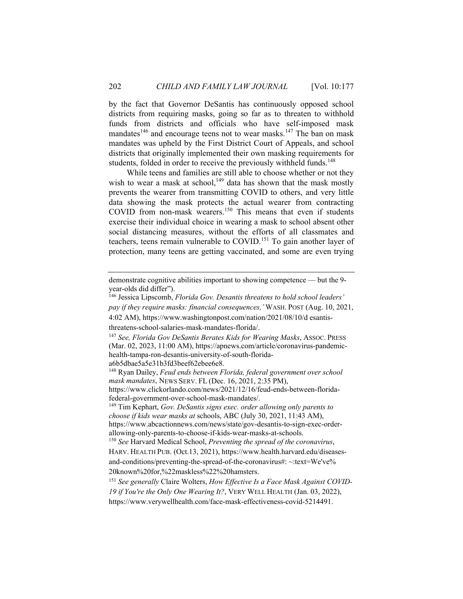by the fact that Governor DeSantis has continuously opposed school districts from requiring masks, going so far as to threaten to withhold funds from districts and officials who have self-imposed mask mandates<sup>146</sup> and encourage teens not to wear masks.<sup>147</sup> The ban on mask mandates was upheld by the First District Court of Appeals, and school districts that originally implemented their own masking requirements for students, folded in order to receive the previously withheld funds.<sup>148</sup>

While teens and families are still able to choose whether or not they wish to wear a mask at school, $149$  data has shown that the mask mostly prevents the wearer from transmitting COVID to others, and very little data showing the mask protects the actual wearer from contracting COVID from non-mask wearers.150 This means that even if students exercise their individual choice in wearing a mask to school absent other social distancing measures, without the efforts of all classmates and teachers, teens remain vulnerable to  $COVID$ .<sup>151</sup> To gain another layer of protection, many teens are getting vaccinated, and some are even trying

146 Jessica Lipscomb, *Florida Gov. Desantis threatens to hold school leaders' pay if they require masks: financial consequences,'* WASH. POST (Aug. 10, 2021, 4:02 AM), https://www.washingtonpost.com/nation/2021/08/10/d esantis-

148 Ryan Dailey, *Feud ends between Florida, federal government over school* 

*mask mandates*, NEWS SERV. FL (Dec. 16, 2021, 2:35 PM),

https://www.clickorlando.com/news/2021/12/16/feud-ends-between-floridafederal-government-over-school-mask-mandates/.

149 Tim Kephart, *Gov. DeSantis signs exec. order allowing only parents to choose if kids wear masks at* schools, ABC (July 30, 2021, 11:43 AM), https://www.abcactionnews.com/news/state/gov-desantis-to-sign-exec-orderallowing-only-parents-to-choose-if-kids-wear-masks-at-schools.

<sup>150</sup> *See* Harvard Medical School, *Preventing the spread of the coronavirus*, HARV. HEALTH PUB. (Oct.13, 2021), https://www.health.harvard.edu/diseasesand-conditions/preventing-the-spread-of-the-coronavirus#: ~:text=We've% 20known%20for,%22maskless%22%20hamsters.

<sup>151</sup> *See generally* Claire Wolters, *How Effective Is a Face Mask Against COVID-19 if You're the Only One Wearing It?*, VERY WELL HEALTH (Jan. 03, 2022), https://www.verywellhealth.com/face-mask-effectiveness-covid-5214491.

demonstrate cognitive abilities important to showing competence — but the 9 year-olds did differ").

threatens-school-salaries-mask-mandates-florida/. 147 *See, Florida Gov DeSantis Berates Kids for Wearing Masks*, ASSOC. PRESS (Mar. 02, 2023, 11:00 AM), https://apnews.com/article/coronavirus-pandemichealth-tampa-ron-desantis-university-of-south-floridaa6b5dbae5a5e31b3fd3beef62ebee6e8.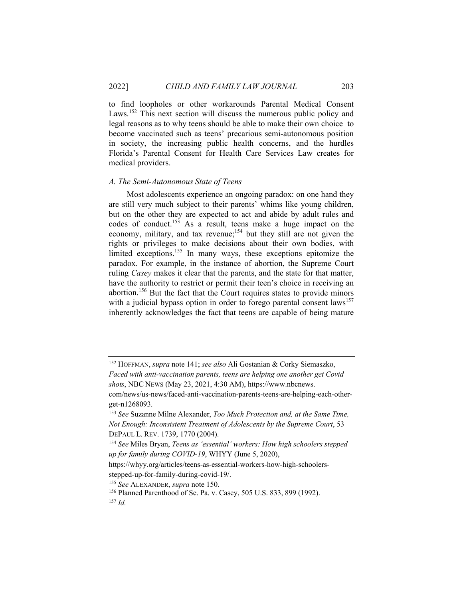to find loopholes or other workarounds Parental Medical Consent Laws.<sup>152</sup> This next section will discuss the numerous public policy and legal reasons as to why teens should be able to make their own choice to become vaccinated such as teens' precarious semi-autonomous position in society, the increasing public health concerns, and the hurdles Florida's Parental Consent for Health Care Services Law creates for medical providers.

#### *A. The Semi-Autonomous State of Teens*

Most adolescents experience an ongoing paradox: on one hand they are still very much subject to their parents' whims like young children, but on the other they are expected to act and abide by adult rules and codes of conduct.<sup>153</sup> As a result, teens make a huge impact on the economy, military, and tax revenue;<sup>154</sup> but they still are not given the rights or privileges to make decisions about their own bodies, with limited exceptions.<sup>155</sup> In many ways, these exceptions epitomize the paradox. For example, in the instance of abortion, the Supreme Court ruling *Casey* makes it clear that the parents, and the state for that matter, have the authority to restrict or permit their teen's choice in receiving an abortion.156 But the fact that the Court requires states to provide minors with a judicial bypass option in order to forego parental consent laws<sup>157</sup> inherently acknowledges the fact that teens are capable of being mature

*shots*, NBC NEWS (May 23, 2021, 4:30 AM), https://www.nbcnews.

<sup>152</sup> HOFFMAN, *supra* note 141; *see also* Ali Gostanian & Corky Siemaszko, *Faced with anti-vaccination parents, teens are helping one another get Covid* 

com/news/us-news/faced-anti-vaccination-parents-teens-are-helping-each-otherget-n1268093.

<sup>153</sup> *See* Suzanne Milne Alexander, *Too Much Protection and, at the Same Time, Not Enough: Inconsistent Treatment of Adolescents by the Supreme Court*, 53 DEPAUL L. REV. 1739, 1770 (2004). 154 *See* Miles Bryan, *Teens as 'essential' workers: How high schoolers stepped* 

*up for family during COVID-19*, WHYY (June 5, 2020),

https://whyy.org/articles/teens-as-essential-workers-how-high-schoolersstepped-up-for-family-during-covid-19/.

<sup>&</sup>lt;sup>155</sup> *See* ALEXANDER, *supra* note 150.<br><sup>156</sup> Planned Parenthood of Se. Pa. v. Casey, 505 U.S. 833, 899 (1992).<br><sup>157</sup> *Id.*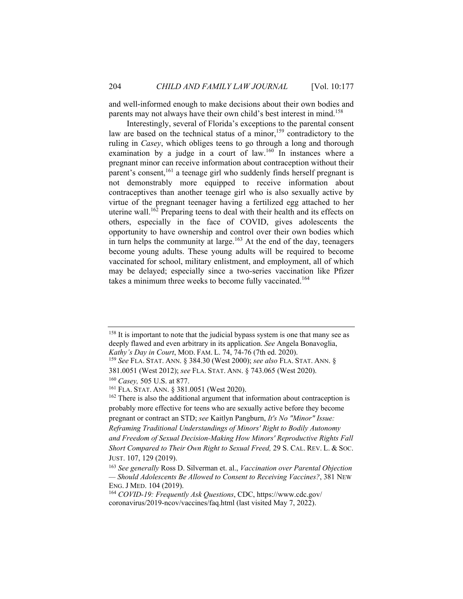and well-informed enough to make decisions about their own bodies and parents may not always have their own child's best interest in mind.<sup>158</sup>

Interestingly, several of Florida's exceptions to the parental consent law are based on the technical status of a minor,<sup>159</sup> contradictory to the ruling in *Casey*, which obliges teens to go through a long and thorough examination by a judge in a court of law.<sup>160</sup> In instances where a pregnant minor can receive information about contraception without their parent's consent,<sup>161</sup> a teenage girl who suddenly finds herself pregnant is not demonstrably more equipped to receive information about contraceptives than another teenage girl who is also sexually active by virtue of the pregnant teenager having a fertilized egg attached to her uterine wall.<sup>162</sup> Preparing teens to deal with their health and its effects on others, especially in the face of COVID, gives adolescents the opportunity to have ownership and control over their own bodies which in turn helps the community at large.<sup>163</sup> At the end of the day, teenagers become young adults. These young adults will be required to become vaccinated for school, military enlistment, and employment, all of which may be delayed; especially since a two-series vaccination like Pfizer takes a minimum three weeks to become fully vaccinated.<sup>164</sup>

<sup>&</sup>lt;sup>158</sup> It is important to note that the judicial bypass system is one that many see as deeply flawed and even arbitrary in its application. *See* Angela Bonavoglia, *Kathy's Day in Court*, MOD. FAM. L. 74, 74-76 (7th ed. 2020). 159 *See* FLA. STAT. ANN. § 384.30 (West 2000); *see also* FLA. STAT. ANN. §

<sup>381.0051 (</sup>West 2012); *see* FLA. STAT. ANN. § 743.065 (West 2020). 160 *Casey,* 505 U.S. at 877. 161 FLA. STAT. ANN. § 381.0051 (West 2020).

<sup>&</sup>lt;sup>162</sup> There is also the additional argument that information about contraception is probably more effective for teens who are sexually active before they become pregnant or contract an STD; *see* Kaitlyn Pangburn, *It's No "Minor" Issue:* 

*Reframing Traditional Understandings of Minors' Right to Bodily Autonomy and Freedom of Sexual Decision-Making How Minors' Reproductive Rights Fall Short Compared to Their Own Right to Sexual Freed,* 29 S. CAL. REV. L. & SOC. JUST. 107, 129 (2019). 163 *See generally* Ross D. Silverman et. al., *Vaccination over Parental Objection* 

*<sup>—</sup> Should Adolescents Be Allowed to Consent to Receiving Vaccines?*, 381 NEW ENG. <sup>J</sup> MED. 104 (2019). 164 *COVID-19: Frequently Ask Questions*, CDC, https://www.cdc.gov/

coronavirus/2019-ncov/vaccines/faq.html (last visited May 7, 2022).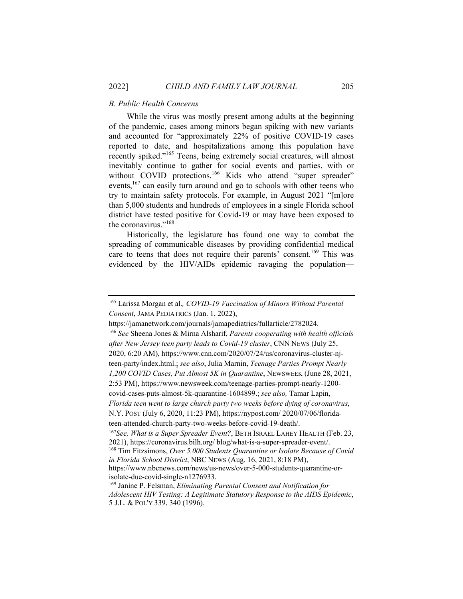#### *B. Public Health Concerns*

While the virus was mostly present among adults at the beginning of the pandemic, cases among minors began spiking with new variants and accounted for "approximately 22% of positive COVID-19 cases reported to date, and hospitalizations among this population have recently spiked."<sup>165</sup> Teens, being extremely social creatures, will almost inevitably continue to gather for social events and parties, with or without COVID protections.<sup>166</sup> Kids who attend "super spreader" events, $167$  can easily turn around and go to schools with other teens who try to maintain safety protocols. For example, in August 2021 "[m]ore than 5,000 students and hundreds of employees in a single Florida school district have tested positive for Covid-19 or may have been exposed to the coronavirus."168

Historically, the legislature has found one way to combat the spreading of communicable diseases by providing confidential medical care to teens that does not require their parents' consent.<sup>169</sup> This was evidenced by the HIV/AIDs epidemic ravaging the population—

https://jamanetwork.com/journals/jamapediatrics/fullarticle/2782024. 166 *See* Sheena Jones & Mirna Alsharif, *Parents cooperating with health officials after New Jersey teen party leads to Covid-19 cluster*, CNN NEWS (July 25, 2020, 6:20 AM), https://www.cnn.com/2020/07/24/us/coronavirus-cluster-njteen-party/index.html.; *see also*, Julia Marnin, *Teenage Parties Prompt Nearly 1,200 COVID Cases, Put Almost 5K in Quarantine*, NEWSWEEK (June 28, 2021, 2:53 PM), https://www.newsweek.com/teenage-parties-prompt-nearly-1200 covid-cases-puts-almost-5k-quarantine-1604899.; *see also,* Tamar Lapin, *Florida teen went to large church party two weeks before dying of coronavirus*, N.Y. POST (July 6, 2020, 11:23 PM), https://nypost.com/ 2020/07/06/floridateen-attended-church-party-two-weeks-before-covid-19-death/. <sup>167</sup>*See, What is a Super Spreader Event?*, BETH ISRAEL LAHEY HEALTH (Feb. 23, 2021), https://coronavirus.bilh.org/ blog/what-is-a-super-spreader-event/. 168 Tim Fitzsimons, *Over 5,000 Students Quarantine or Isolate Because of Covid in Florida School District*, NBC NEWS (Aug. 16, 2021, 8:18 PM), https://www.nbcnews.com/news/us-news/over-5-000-students-quarantine-orisolate-due-covid-single-n1276933.

<sup>165</sup> Larissa Morgan et al.*, COVID-19 Vaccination of Minors Without Parental Consent*, JAMA PEDIATRICS (Jan. 1, 2022),

<sup>169</sup> Janine P. Felsman, *Eliminating Parental Consent and Notification for Adolescent HIV Testing: A Legitimate Statutory Response to the AIDS Epidemic*, 5 J.L. & POL'Y 339, 340 (1996).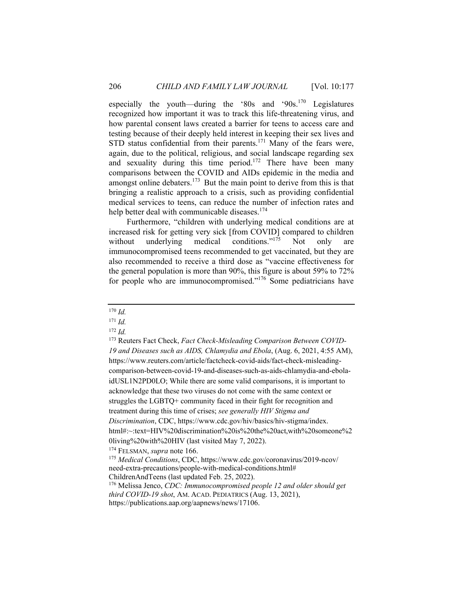especially the youth—during the '80s and '90s.<sup>170</sup> Legislatures recognized how important it was to track this life-threatening virus, and how parental consent laws created a barrier for teens to access care and testing because of their deeply held interest in keeping their sex lives and STD status confidential from their parents.<sup>171</sup> Many of the fears were, again, due to the political, religious, and social landscape regarding sex and sexuality during this time period.<sup>172</sup> There have been many comparisons between the COVID and AIDs epidemic in the media and amongst online debaters. $173$  But the main point to derive from this is that bringing a realistic approach to a crisis, such as providing confidential medical services to teens, can reduce the number of infection rates and help better deal with communicable diseases.<sup>174</sup>

Furthermore, "children with underlying medical conditions are at increased risk for getting very sick [from COVID] compared to children without underlying medical conditions."<sup>175</sup> Not only are immunocompromised teens recommended to get vaccinated, but they are also recommended to receive a third dose as "vaccine effectiveness for the general population is more than 90%, this figure is about 59% to 72% for people who are immunocompromised."176 Some pediatricians have

<sup>170</sup> *Id.* 

 $171$  *Id.* 

 $172$  *Id.* 

<sup>173</sup> Reuters Fact Check, *Fact Check-Misleading Comparison Between COVID-19 and Diseases such as AIDS, Chlamydia and Ebola*, (Aug. 6, 2021, 4:55 AM), https://www.reuters.com/article/factcheck-covid-aids/fact-check-misleadingcomparison-between-covid-19-and-diseases-such-as-aids-chlamydia-and-ebolaidUSL1N2PD0LO; While there are some valid comparisons, it is important to acknowledge that these two viruses do not come with the same context or struggles the LGBTQ+ community faced in their fight for recognition and treatment during this time of crises; *see generally HIV Stigma and Discrimination*, CDC, https://www.cdc.gov/hiv/basics/hiv-stigma/index. html#:~:text=HIV%20discrimination%20is%20the%20act,with%20someone%2 0living%20with%20HIV (last visited May 7, 2022). 174 FELSMAN, *supra* note 166. 175 *Medical Conditions*, CDC, https://www.cdc.gov/coronavirus/2019-ncov/

need-extra-precautions/people-with-medical-conditions.html# ChildrenAndTeens (last updated Feb. 25, 2022).

<sup>176</sup> Melissa Jenco, *CDC: Immunocompromised people 12 and older should get third COVID-19 shot*, AM. ACAD. PEDIATRICS (Aug. 13, 2021), https://publications.aap.org/aapnews/news/17106.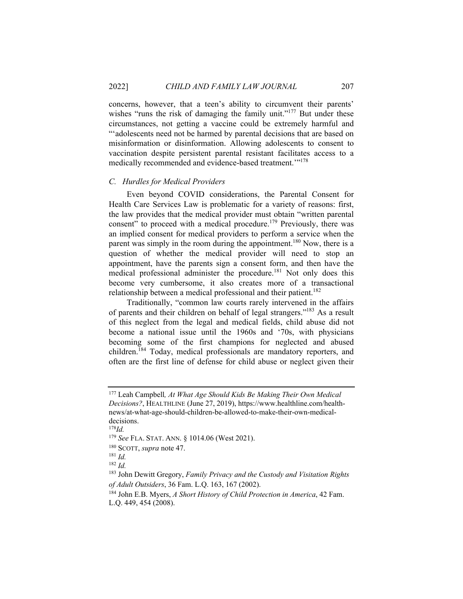concerns, however, that a teen's ability to circumvent their parents' wishes "runs the risk of damaging the family unit."<sup>177</sup> But under these circumstances, not getting a vaccine could be extremely harmful and "'adolescents need not be harmed by parental decisions that are based on misinformation or disinformation. Allowing adolescents to consent to vaccination despite persistent parental resistant facilitates access to a medically recommended and evidence-based treatment."<sup>178</sup>

#### *C. Hurdles for Medical Providers*

Even beyond COVID considerations, the Parental Consent for Health Care Services Law is problematic for a variety of reasons: first, the law provides that the medical provider must obtain "written parental consent" to proceed with a medical procedure.<sup>179</sup> Previously, there was an implied consent for medical providers to perform a service when the parent was simply in the room during the appointment.<sup>180</sup> Now, there is a question of whether the medical provider will need to stop an appointment, have the parents sign a consent form, and then have the medical professional administer the procedure.<sup>181</sup> Not only does this become very cumbersome, it also creates more of a transactional relationship between a medical professional and their patient.<sup>182</sup>

Traditionally, "common law courts rarely intervened in the affairs of parents and their children on behalf of legal strangers."183 As a result of this neglect from the legal and medical fields, child abuse did not become a national issue until the 1960s and '70s, with physicians becoming some of the first champions for neglected and abused children.184 Today, medical professionals are mandatory reporters, and often are the first line of defense for child abuse or neglect given their

<sup>177</sup> Leah Campbell*, At What Age Should Kids Be Making Their Own Medical Decisions?*, HEALTHLINE (June 27, 2019), https://www.healthline.com/healthnews/at-what-age-should-children-be-allowed-to-make-their-own-medicaldecisions.

<sup>178</sup>*Id.* 

<sup>179</sup> *See* FLA. STAT. ANN. § 1014.06 (West 2021). 180 SCOTT, *supra* note 47. 181 *Id.* 

<sup>182</sup> *Id.*

<sup>183</sup> John Dewitt Gregory, *Family Privacy and the Custody and Visitation Rights of Adult Outsiders*, 36 Fam. L.Q. 163, 167 (2002). 184 John E.B. Myers, *A Short History of Child Protection in America*, 42 Fam.

L.Q. 449, 454 (2008).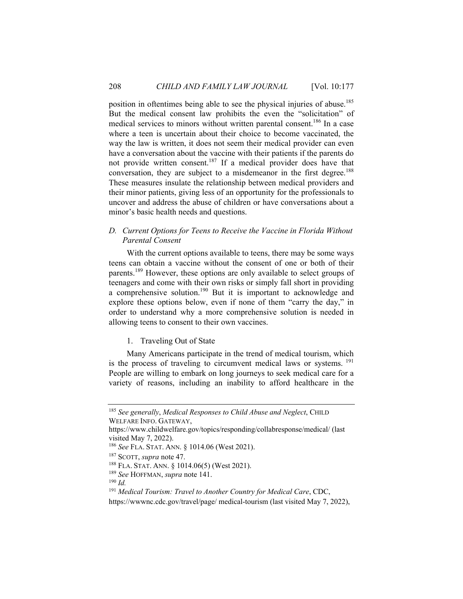position in oftentimes being able to see the physical injuries of abuse.<sup>185</sup> But the medical consent law prohibits the even the "solicitation" of medical services to minors without written parental consent.<sup>186</sup> In a case where a teen is uncertain about their choice to become vaccinated, the way the law is written, it does not seem their medical provider can even have a conversation about the vaccine with their patients if the parents do not provide written consent.187 If a medical provider does have that conversation, they are subject to a misdemeanor in the first degree.<sup>188</sup> These measures insulate the relationship between medical providers and their minor patients, giving less of an opportunity for the professionals to uncover and address the abuse of children or have conversations about a minor's basic health needs and questions.

## *D. Current Options for Teens to Receive the Vaccine in Florida Without Parental Consent*

With the current options available to teens, there may be some ways teens can obtain a vaccine without the consent of one or both of their parents.<sup>189</sup> However, these options are only available to select groups of teenagers and come with their own risks or simply fall short in providing a comprehensive solution.<sup>190</sup> But it is important to acknowledge and explore these options below, even if none of them "carry the day," in order to understand why a more comprehensive solution is needed in allowing teens to consent to their own vaccines.

#### 1. Traveling Out of State

Many Americans participate in the trend of medical tourism, which is the process of traveling to circumvent medical laws or systems.<sup>191</sup> People are willing to embark on long journeys to seek medical care for a variety of reasons, including an inability to afford healthcare in the

<sup>185</sup> *See generally*, *Medical Responses to Child Abuse and Neglect*, CHILD WELFARE INFO. GATEWAY,

https://www.childwelfare.gov/topics/responding/collabresponse/medical/ (last visited May 7, 2022).

<sup>&</sup>lt;sup>186</sup> *See* FLA. STAT. ANN. § 1014.06 (West 2021).<br><sup>187</sup> SCOTT, *supra* note 47.<br><sup>188</sup> FLA. STAT. ANN. § 1014.06(5) (West 2021).<br><sup>189</sup> *See* HOFFMAN, *supra* note 141.<br><sup>190</sup> *Id* 

<sup>191</sup> *Medical Tourism: Travel to Another Country for Medical Care*, CDC,

https://wwwnc.cdc.gov/travel/page/ medical-tourism (last visited May 7, 2022),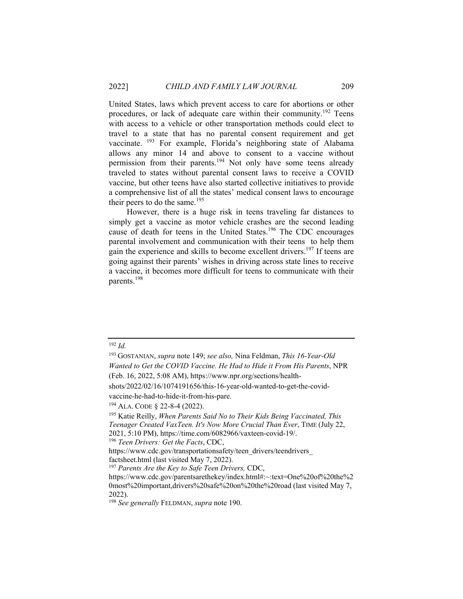United States, laws which prevent access to care for abortions or other procedures, or lack of adequate care within their community.192 Teens with access to a vehicle or other transportation methods could elect to travel to a state that has no parental consent requirement and get vaccinate. <sup>193</sup> For example, Florida's neighboring state of Alabama allows any minor 14 and above to consent to a vaccine without permission from their parents.194 Not only have some teens already traveled to states without parental consent laws to receive a COVID vaccine, but other teens have also started collective initiatives to provide a comprehensive list of all the states' medical consent laws to encourage their peers to do the same. $195$ 

However, there is a huge risk in teens traveling far distances to simply get a vaccine as motor vehicle crashes are the second leading cause of death for teens in the United States.<sup>196</sup> The CDC encourages parental involvement and communication with their teens to help them gain the experience and skills to become excellent drivers.<sup>197</sup> If teens are going against their parents' wishes in driving across state lines to receive a vaccine, it becomes more difficult for teens to communicate with their parents.198

shots/2022/02/16/1074191656/this-16-year-old-wanted-to-get-the-covid-

<sup>192</sup> *Id.* 

<sup>193</sup> GOSTANIAN, *supra* note 149; *see also,* Nina Feldman, *This 16-Year-Old Wanted to Get the COVID Vaccine. He Had to Hide it From His Parents*, NPR (Feb. 16, 2022, 5:08 AM), https://www.npr.org/sections/health-

vaccine-he-had-to-hide-it-from-his-pare.<br><sup>194</sup> ALA. CODE § 22-8-4 (2022).<br><sup>195</sup> Katie Reilly, *When Parents Said No to Their Kids Being Vaccinated, This Teenager Created VaxTeen. It's Now More Crucial Than Ever*, TIME (July 22, 2021, 5:10 PM), https://time.com/6082966/vaxteen-covid-19/.

<sup>196</sup> *Teen Drivers: Get the Facts*, CDC,

https://www.cdc.gov/transportationsafety/teen\_drivers/teendrivers\_ factsheet.html (last visited May 7, 2022).

<sup>197</sup> *Parents Are the Key to Safe Teen Drivers,* CDC,

https://www.cdc.gov/parentsarethekey/index.html#:~:text=One%20of%20the%2 0most%20important,drivers%20safe%20on%20the%20road (last visited May 7, 2022).

<sup>198</sup> *See generally* FELDMAN, *supra* note 190.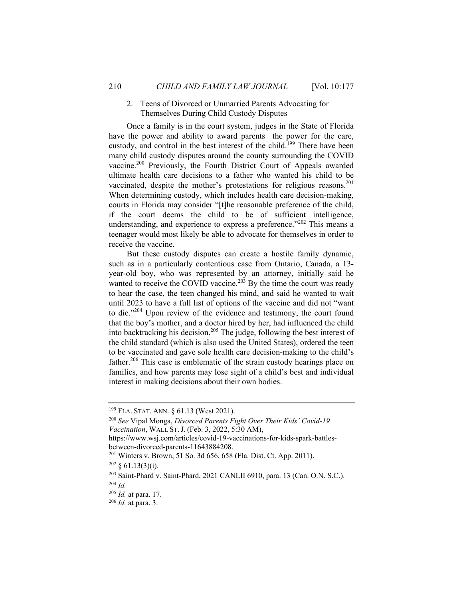# 2. Teens of Divorced or Unmarried Parents Advocating for Themselves During Child Custody Disputes

Once a family is in the court system, judges in the State of Florida have the power and ability to award parents the power for the care, custody, and control in the best interest of the child.<sup>199</sup> There have been many child custody disputes around the county surrounding the COVID vaccine.200 Previously, the Fourth District Court of Appeals awarded ultimate health care decisions to a father who wanted his child to be vaccinated, despite the mother's protestations for religious reasons.<sup>201</sup> When determining custody, which includes health care decision-making, courts in Florida may consider "[t]he reasonable preference of the child, if the court deems the child to be of sufficient intelligence, understanding, and experience to express a preference."<sup>202</sup> This means a teenager would most likely be able to advocate for themselves in order to receive the vaccine.

But these custody disputes can create a hostile family dynamic, such as in a particularly contentious case from Ontario, Canada, a 13 year-old boy, who was represented by an attorney, initially said he wanted to receive the COVID vaccine.<sup>203</sup> By the time the court was ready to hear the case, the teen changed his mind, and said he wanted to wait until 2023 to have a full list of options of the vaccine and did not "want to die."<sup>204</sup> Upon review of the evidence and testimony, the court found that the boy's mother, and a doctor hired by her, had influenced the child into backtracking his decision.205 The judge, following the best interest of the child standard (which is also used the United States), ordered the teen to be vaccinated and gave sole health care decision-making to the child's father.<sup>206</sup> This case is emblematic of the strain custody hearings place on families, and how parents may lose sight of a child's best and individual interest in making decisions about their own bodies.

<sup>199</sup> FLA. STAT. ANN. § 61.13 (West 2021). 200 *See* Vipal Monga, *Divorced Parents Fight Over Their Kids' Covid-19 Vaccination*, WALL ST. J. (Feb. 3, 2022, 5:30 AM),

https://www.wsj.com/articles/covid-19-vaccinations-for-kids-spark-battlesbetween-divorced-parents-11643884208.

<sup>&</sup>lt;sup>201</sup> Winters v. Brown, 51 So. 3d 656, 658 (Fla. Dist. Ct. App. 2011).<br><sup>202</sup> § 61.13(3)(i).

<sup>203</sup> Saint-Phard v. Saint-Phard, 2021 CANLII 6910, para. 13 (Can. O.N. S.C.). 204 *Id.*

<sup>205</sup> *Id.* at para. 17. 206 *Id.* at para. 3.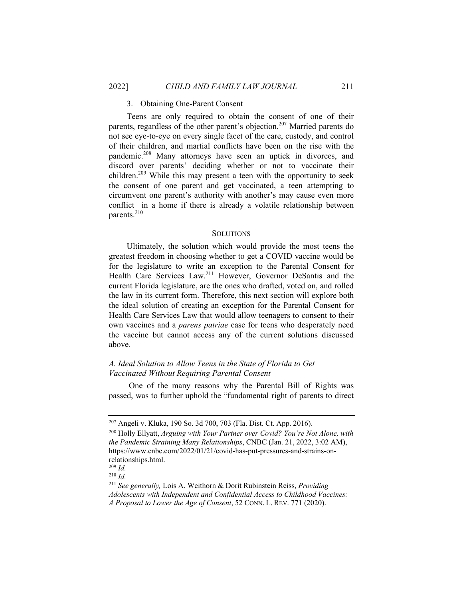#### 3. Obtaining One-Parent Consent

Teens are only required to obtain the consent of one of their parents, regardless of the other parent's objection.<sup>207</sup> Married parents do not see eye-to-eye on every single facet of the care, custody, and control of their children, and martial conflicts have been on the rise with the pandemic.208 Many attorneys have seen an uptick in divorces, and discord over parents' deciding whether or not to vaccinate their children.<sup>209</sup> While this may present a teen with the opportunity to seek the consent of one parent and get vaccinated, a teen attempting to circumvent one parent's authority with another's may cause even more conflict in a home if there is already a volatile relationship between parents.<sup>210</sup>

#### **SOLUTIONS**

Ultimately, the solution which would provide the most teens the greatest freedom in choosing whether to get a COVID vaccine would be for the legislature to write an exception to the Parental Consent for Health Care Services Law.<sup>211</sup> However, Governor DeSantis and the current Florida legislature, are the ones who drafted, voted on, and rolled the law in its current form. Therefore, this next section will explore both the ideal solution of creating an exception for the Parental Consent for Health Care Services Law that would allow teenagers to consent to their own vaccines and a *parens patriae* case for teens who desperately need the vaccine but cannot access any of the current solutions discussed above.

#### *A. Ideal Solution to Allow Teens in the State of Florida to Get Vaccinated Without Requiring Parental Consent*

 One of the many reasons why the Parental Bill of Rights was passed, was to further uphold the "fundamental right of parents to direct

<sup>207</sup> Angeli v. Kluka, 190 So. 3d 700, 703 (Fla. Dist. Ct. App. 2016). 208 Holly Ellyatt, *Arguing with Your Partner over Covid? You're Not Alone, with the Pandemic Straining Many Relationships*, CNBC (Jan. 21, 2022, 3:02 AM), https://www.cnbc.com/2022/01/21/covid-has-put-pressures-and-strains-onrelationships.html.

 $209$  *Id.* 

 $^{210}$  *Id.* 

<sup>211</sup> *See generally,* Lois A. Weithorn & Dorit Rubinstein Reiss, *Providing Adolescents with Independent and Confidential Access to Childhood Vaccines:* 

*A Proposal to Lower the Age of Consent*, 52 CONN. L. REV. 771 (2020).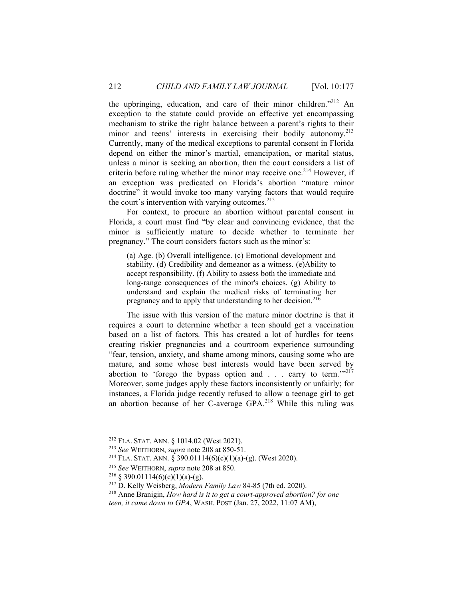the upbringing, education, and care of their minor children."<sup>212</sup> An exception to the statute could provide an effective yet encompassing mechanism to strike the right balance between a parent's rights to their minor and teens' interests in exercising their bodily autonomy.<sup>213</sup> Currently, many of the medical exceptions to parental consent in Florida depend on either the minor's martial, emancipation, or marital status, unless a minor is seeking an abortion, then the court considers a list of criteria before ruling whether the minor may receive one.<sup>214</sup> However, if an exception was predicated on Florida's abortion "mature minor doctrine" it would invoke too many varying factors that would require the court's intervention with varying outcomes. $215$ 

For context, to procure an abortion without parental consent in Florida, a court must find "by clear and convincing evidence, that the minor is sufficiently mature to decide whether to terminate her pregnancy." The court considers factors such as the minor's:

(a) Age. (b) Overall intelligence. (c) Emotional development and stability. (d) Credibility and demeanor as a witness. (e)Ability to accept responsibility. (f) Ability to assess both the immediate and long-range consequences of the minor's choices. (g) Ability to understand and explain the medical risks of terminating her pregnancy and to apply that understanding to her decision.<sup>216</sup>

The issue with this version of the mature minor doctrine is that it requires a court to determine whether a teen should get a vaccination based on a list of factors. This has created a lot of hurdles for teens creating riskier pregnancies and a courtroom experience surrounding "fear, tension, anxiety, and shame among minors, causing some who are mature, and some whose best interests would have been served by abortion to 'forego the bypass option and  $\ldots$  carry to term." $2^{17}$ Moreover, some judges apply these factors inconsistently or unfairly; for instances, a Florida judge recently refused to allow a teenage girl to get an abortion because of her C-average GPA.218 While this ruling was

<sup>&</sup>lt;sup>212</sup> FLA. STAT. ANN. § 1014.02 (West 2021).<br>
<sup>213</sup> *See* WEITHORN, *supra* note 208 at 850-51.<br>
<sup>214</sup> FLA. STAT. ANN. § 390.01114(6)(c)(1)(a)-(g). (West 2020).<br>
<sup>215</sup> *See* WEITHORN, *supra* note 208 at 850.<br>
<sup>216</sup> § 390 *teen, it came down to GPA*, WASH. POST (Jan. 27, 2022, 11:07 AM),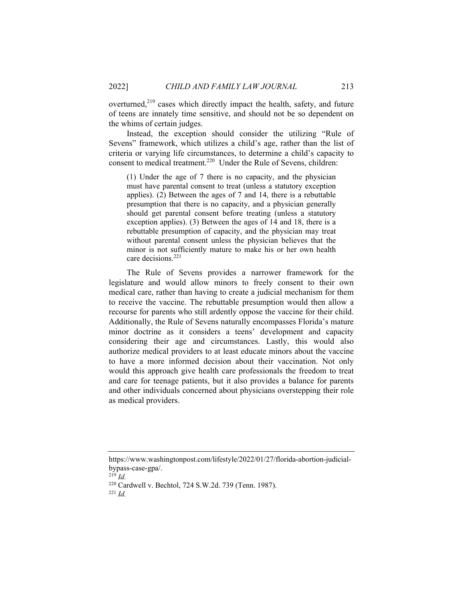overturned, $2^{19}$  cases which directly impact the health, safety, and future of teens are innately time sensitive, and should not be so dependent on the whims of certain judges.

Instead, the exception should consider the utilizing "Rule of Sevens" framework, which utilizes a child's age, rather than the list of criteria or varying life circumstances, to determine a child's capacity to consent to medical treatment.<sup>220</sup> Under the Rule of Sevens, children:

(1) Under the age of 7 there is no capacity, and the physician must have parental consent to treat (unless a statutory exception applies). (2) Between the ages of 7 and 14, there is a rebuttable presumption that there is no capacity, and a physician generally should get parental consent before treating (unless a statutory exception applies). (3) Between the ages of 14 and 18, there is a rebuttable presumption of capacity, and the physician may treat without parental consent unless the physician believes that the minor is not sufficiently mature to make his or her own health care decisions.221

The Rule of Sevens provides a narrower framework for the legislature and would allow minors to freely consent to their own medical care, rather than having to create a judicial mechanism for them to receive the vaccine. The rebuttable presumption would then allow a recourse for parents who still ardently oppose the vaccine for their child. Additionally, the Rule of Sevens naturally encompasses Florida's mature minor doctrine as it considers a teens' development and capacity considering their age and circumstances. Lastly, this would also authorize medical providers to at least educate minors about the vaccine to have a more informed decision about their vaccination. Not only would this approach give health care professionals the freedom to treat and care for teenage patients, but it also provides a balance for parents and other individuals concerned about physicians overstepping their role as medical providers.

<sup>219</sup> *Id.* 

https://www.washingtonpost.com/lifestyle/2022/01/27/florida-abortion-judicialbypass-case-gpa/.

<sup>220</sup> Cardwell v. Bechtol, 724 S.W.2d. 739 (Tenn. 1987). 221 *Id.*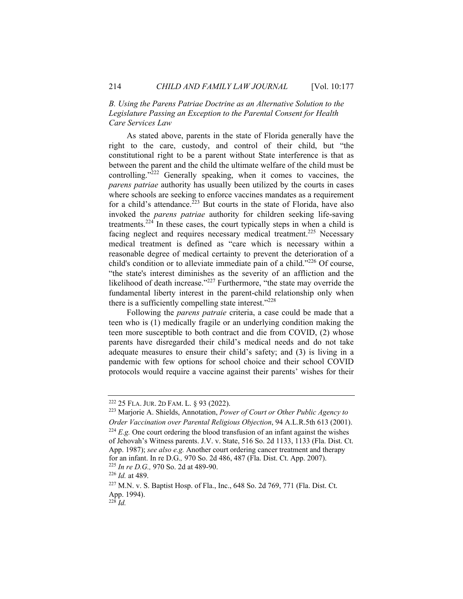# *B. Using the Parens Patriae Doctrine as an Alternative Solution to the Legislature Passing an Exception to the Parental Consent for Health Care Services Law*

As stated above, parents in the state of Florida generally have the right to the care, custody, and control of their child, but "the constitutional right to be a parent without State interference is that as between the parent and the child the ultimate welfare of the child must be controlling. $v^{222}$  Generally speaking, when it comes to vaccines, the *parens patriae* authority has usually been utilized by the courts in cases where schools are seeking to enforce vaccines mandates as a requirement for a child's attendance.<sup>223</sup> But courts in the state of Florida, have also invoked the *parens patriae* authority for children seeking life-saving treatments.224 In these cases, the court typically steps in when a child is facing neglect and requires necessary medical treatment.<sup>225</sup> Necessary medical treatment is defined as "care which is necessary within a reasonable degree of medical certainty to prevent the deterioration of a child's condition or to alleviate immediate pain of a child."226 Of course, "the state's interest diminishes as the severity of an affliction and the likelihood of death increase."<sup>227</sup> Furthermore, "the state may override the fundamental liberty interest in the parent-child relationship only when there is a sufficiently compelling state interest."<sup>228</sup>

Following the *parens patraie* criteria, a case could be made that a teen who is (1) medically fragile or an underlying condition making the teen more susceptible to both contract and die from COVID, (2) whose parents have disregarded their child's medical needs and do not take adequate measures to ensure their child's safety; and (3) is living in a pandemic with few options for school choice and their school COVID protocols would require a vaccine against their parents' wishes for their

<sup>222 25</sup> FLA. JUR. 2D FAM. L. § 93 (2022). 223 Marjorie A. Shields, Annotation, *Power of Court or Other Public Agency to Order Vaccination over Parental Religious Objection*, 94 A.L.R.5th 613 (2001). <sup>224</sup> *E.g.* One court ordering the blood transfusion of an infant against the wishes of Jehovah's Witness parents. J.V. v. State, 516 So. 2d 1133, 1133 (Fla. Dist. Ct. App. 1987); *see also e.g.* Another court ordering cancer treatment and therapy for an infant. In re D.G., 970 So. 2d 486, 487 (Fla. Dist. Ct. App. 2007).<br>
<sup>225</sup> *In re D.G.*, 970 So. 2d at 489-90.<br>
<sup>226</sup> *Id.* at 489.<br>
<sup>227</sup> M.N. v. S. Baptist Hosp. of Fla., Inc., 648 So. 2d 769, 771 (Fla. Dist. Ct.

App. 1994).